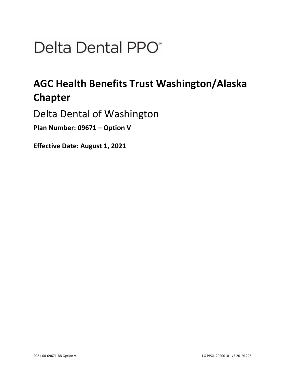# Delta Dental PPO<sup>\*</sup>

## **AGC Health Benefits Trust Washington/Alaska Chapter**

Delta Dental of Washington

**Plan Number: 09671 – Option V** 

**Effective Date: August 1, 2021**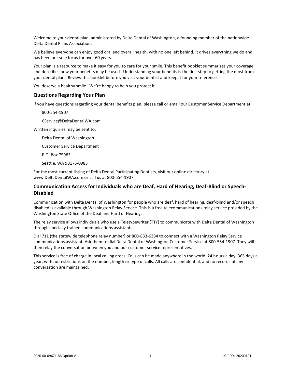Welcome to your dental plan, administered by Delta Dental of Washington, a founding member of the nationwide Delta Dental Plans Association.

We believe everyone can enjoy good oral and overall health, with no one left behind. It drives everything we do and has been our sole focus for over 60 years.

Your plan is a resource to make it easy for you to care for your smile. This benefit booklet summarizes your coverage and describes how your benefits may be used. Understanding your benefits is the first step to getting the most from your dental plan. Review this booklet before you visit your dentist and keep it for your reference.

You deserve a healthy smile. We're happy to help you protect it.

#### **Questions Regarding Your Plan**

If you have questions regarding your dental benefits plan, please call or email our Customer Service Department at:

800-554-1907

CService@DeltaDentalWA.com

Written inquiries may be sent to:

Delta Dental of Washington

Customer Service Department

P.O. Box 75983

Seattle, WA 98175-0983

For the most current listing of Delta Dental Participating Dentists, visit our online directory at www.DeltaDentalWA.com or call us at 800-554-1907.

## **Communication Access for Individuals who are Deaf, Hard of Hearing, Deaf-Blind or Speech-Disabled**

Communication with Delta Dental of Washington for people who are deaf, hard of hearing, deaf-blind and/or speech disabled is available through Washington Relay Service. This is a free telecommunications relay service provided by the Washington State Office of the Deaf and Hard of Hearing.

The relay service allows individuals who use a Teletypewriter (TTY) to communicate with Delta Dental of Washington through specially trained communications assistants.

Dial 711 (the statewide telephone relay number) or 800-833-6384 to connect with a Washington Relay Service communications assistant. Ask them to dial Delta Dental of Washington Customer Service at 800-554-1907. They will then relay the conversation between you and our customer service representatives.

This service is free of charge in local calling areas. Calls can be made anywhere in the world, 24 hours a day, 365 days a year, with no restrictions on the number, length or type of calls. All calls are confidential, and no records of any conversation are maintained.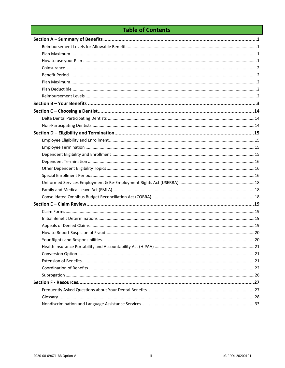## **Table of Contents**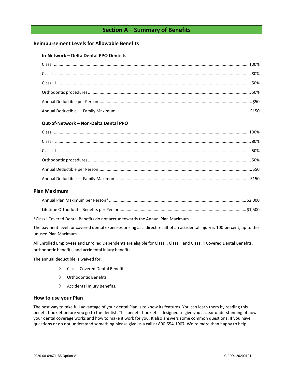## **Section A – Summary of Benefits**

## <span id="page-3-1"></span><span id="page-3-0"></span>**Reimbursement Levels for Allowable Benefits**

#### **In-Network – Delta Dental PPO Dentists**

## **Out-of-Network – Non-Delta Dental PPO**

## <span id="page-3-2"></span>**Plan Maximum**

\*Class I Covered Dental Benefits do not accrue towards the Annual Plan Maximum.

The payment level for covered dental expenses arising as a direct result of an accidental injury is 100 percent, up to the unused Plan Maximum.

All Enrolled Employees and Enrolled Dependents are eligible for Class I, Class II and Class III Covered Dental Benefits, orthodontic benefits, and accidental injury benefits.

The annual deductible is waived for:

- Class I Covered Dental Benefits.
- $\Diamond$  Orthodontic Benefits.
- $\Diamond$  Accidental Injury Benefits.

#### <span id="page-3-3"></span>**How to use your Plan**

The best way to take full advantage of your dental Plan is to know its features. You can learn them by reading this benefit booklet before you go to the dentist. This benefit booklet is designed to give you a clear understanding of how your dental coverage works and how to make it work for you. It also answers some common questions. If you have questions or do not understand something please give us a call at 800-554-1907. We're more than happy to help.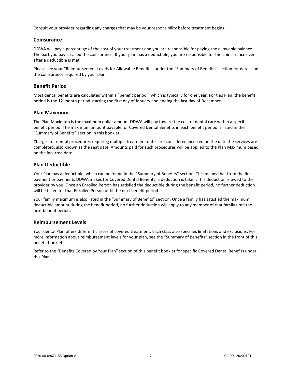Consult your provider regarding any charges that may be your responsibility before treatment begins.

## <span id="page-4-0"></span>**Coinsurance**

DDWA will pay a percentage of the cost of your treatment and you are responsible for paying the allowable balance. The part you pay is called the coinsurance. If your plan has a deductible, you are responsible for the coinsurance even after a deductible is met.

Please see your "Reimbursement Levels for Allowable Benefits" under the "Summary of Benefits" section for details on the coinsurance required by your plan.

## <span id="page-4-1"></span>**Benefit Period**

Most dental benefits are calculated within a "benefit period," which is typically for one year. For this Plan, the benefit period is the 12-month period starting the first day of January and ending the last day of December.

## <span id="page-4-2"></span>**Plan Maximum**

The Plan Maximum is the maximum dollar amount DDWA will pay toward the cost of dental care within a specific benefit period. The maximum amount payable for Covered Dental Benefits in each benefit period is listed in the "Summary of Benefits" section in this booklet.

Charges for dental procedures requiring multiple treatment dates are considered incurred on the date the services are completed, also known as the seat date. Amounts paid for such procedures will be applied to the Plan Maximum based on the incurred date.

## <span id="page-4-3"></span>**Plan Deductible**

Your Plan has a deductible, which can be found in the "Summary of Benefits" section. This means that from the first payment or payments DDWA makes for Covered Dental Benefits, a deduction is taken. This deduction is owed to the provider by you. Once an Enrolled Person has satisfied the deductible during the benefit period, no further deduction will be taken for that Enrolled Person until the next benefit period.

Your family maximum is also listed in the "Summary of Benefits" section. Once a family has satisfied the maximum deductible amount during the benefit period, no further deduction will apply to any member of that family until the next benefit period.

#### <span id="page-4-4"></span>**Reimbursement Levels**

Your dental Plan offers different classes of covered treatment. Each class also specifies limitations and exclusions. For more information about reimbursement levels for your plan, see the "Summary of Benefits" section in the front of this benefit booklet.

Refer to the "Benefits Covered by Your Plan" section of this benefit booklet for specific Covered Dental Benefits under this Plan.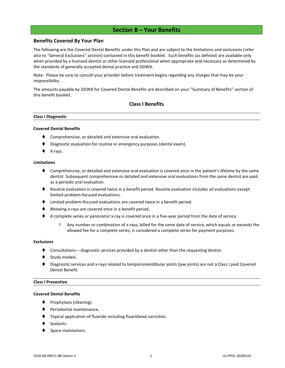## **Section B – Your Benefits**

## <span id="page-5-0"></span>**Benefits Covered By Your Plan**

The following are the Covered Dental Benefits under this Plan and are subject to the limitations and exclusions (refer also to "General Exclusions" section) contained in this benefit booklet. Such benefits (as defined) are available only when provided by a licensed dentist or other licensed professional when appropriate and necessary as determined by the standards of generally accepted dental practice and DDWA.

Note: Please be sure to consult your provider before treatment begins regarding any charges that may be your responsibility.

The amounts payable by DDWA for Covered Dental Benefits are described on your "Summary of Benefits" section of this benefit booklet.

## **Class I Benefits**

#### **Class I Diagnostic**

#### **Covered Dental Benefits**

- Comprehensive, or detailed and extensive oral evaluation.
- Diagnostic evaluation for routine or emergency purposes (dental exam).
- X-rays.

#### **Limitations**

- ♦ Comprehensive, or detailed and extensive oral evaluation is covered once in the patient's lifetime by the same dentist. Subsequent comprehensive or detailed and extensive oral evaluations from the same dentist are paid as a periodic oral evaluation.
- ♦ Routine evaluation is covered twice in a benefit period. Routine evaluation includes all evaluations except limited problem-focused evaluations.
- ⧫ Limited problem-focused evaluations are covered twice in a benefit period.
- Bitewing x-rays are covered once in a benefit period.
- ◆ A complete series or panoramic x-ray is covered once in a five-year period from the date of service.
	- $\Diamond$  Any number or combination of x-rays, billed for the same date of service, which equals or exceeds the allowed fee for a complete series, is considered a complete series for payment purposes.

#### **Exclusions**

- Consultations diagnostic services provided by a dentist other than the requesting dentist.
- Study models.
- Diagnostic services and x-rays related to temporomandibular joints (jaw joints) are not a Class I paid Covered Dental Benefit.

#### **Class I Preventive**

#### **Covered Dental Benefits**

- Prophylaxis (cleaning).
- ⧫ Periodontal maintenance**.**
- ⧫ Topical application of fluoride including fluoridated varnishes.
- Sealants.
- Space maintainers.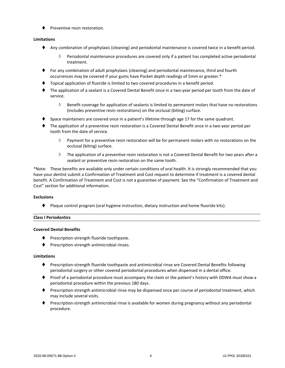⧫ Preventive resin restoration.

## **Limitations**

- ⧫ Any combination of prophylaxis (cleaning) and periodontal maintenance is covered twice in a benefit period.
	- $\Diamond$  Periodontal maintenance procedures are covered only if a patient has completed active periodontal treatment.
- ⧫ For any combination of adult prophylaxis (cleaning) and periodontal maintenance, third and fourth occurrences may be covered if your gums have Pocket depth readings of 5mm or greater.\*
- ⧫ Topical application of fluoride is limited to two covered procedures in a benefit period.
- ⧫ The application of a sealant is a Covered Dental Benefit once in a two-year period per tooth from the date of service.
	- $\Diamond$  Benefit coverage for application of sealants is limited to permanent molars that have no restorations (includes preventive resin restorations) on the occlusal (biting) surface.
- Space maintainers are covered once in a patient's lifetime through age 17 for the same quadrant.
- ⧫ The application of a preventive resin restoration is a Covered Dental Benefit once in a two-year period per tooth from the date of service.
	- $\Diamond$  Payment for a preventive resin restoration will be for permanent molars with no restorations on the occlusal (biting) surface.
	- $\Diamond$  The application of a preventive resin restoration is not a Covered Dental Benefit for two years after a sealant or preventive resin restoration on the same tooth.

\*Note: These benefits are available only under certain conditions of oral health. It is strongly recommended that you have your dentist submit a Confirmation of Treatment and Cost request to determine if treatment is a covered dental benefit. A Confirmation of Treatment and Cost is not a guarantee of payment. See the "Confirmation of Treatment and Cost" section for additional information.

#### **Exclusions**

⧫ Plaque control program (oral hygiene instruction, dietary instruction and home fluoride kits).

## **Class I Periodontics**

#### **Covered Dental Benefits**

- ◆ Prescription-strength fluoride toothpaste.
- ⧫ Prescription-strength antimicrobial rinses.

#### **Limitations**

- ◆ Prescription-strength fluoride toothpaste and antimicrobial rinse are Covered Dental Benefits following periodontal surgery or other covered periodontal procedures when dispensed in a dental office.
- ⧫ Proof of a periodontal procedure must accompany the claim or the patient's history with DDWA must show a periodontal procedure within the previous 180 days.
- ⧫ Prescription-strength antimicrobial rinse may be dispensed once per course of periodontal treatment, which may include several visits.
- Prescription-strength antimicrobial rinse is available for women during pregnancy without any periodontal procedure.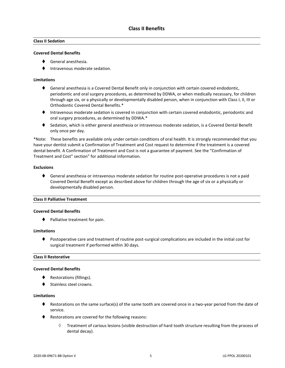## **Class II Sedation**

#### **Covered Dental Benefits**

- ⧫ General anesthesia.
- ⧫ Intravenous moderate sedation.

#### **Limitations**

- ◆ General anesthesia is a Covered Dental Benefit only in conjunction with certain covered endodontic, periodontic and oral surgery procedures, as determined by DDWA, or when medically necessary, for children through age six, or a physically or developmentally disabled person, when in conjunction with Class I, II, III or Orthodontic Covered Dental Benefits.\*
- ⧫ Intravenous moderate sedation is covered in conjunction with certain covered endodontic, periodontic and oral surgery procedures, as determined by DDWA.\*
- ◆ Sedation, which is either general anesthesia or intravenous moderate sedation, is a Covered Dental Benefit only once per day.

\*Note: These benefits are available only under certain conditions of oral health. It is strongly recommended that you have your dentist submit a Confirmation of Treatment and Cost request to determine if the treatment is a covered dental benefit. A Confirmation of Treatment and Cost is not a guarantee of payment. See the "Confirmation of Treatment and Cost" section" for additional information.

#### **Exclusions**

♦ General anesthesia or intravenous moderate sedation for routine post-operative procedures is not a paid Covered Dental Benefit except as described above for children through the age of six or a physically or developmentally disabled person.

#### **Class II Palliative Treatment**

#### **Covered Dental Benefits**

⧫ Palliative treatment for pain.

#### **Limitations**

⧫ Postoperative care and treatment of routine post-surgical complications are included in the initial cost for surgical treatment if performed within 30 days.

#### **Class II Restorative**

#### **Covered Dental Benefits**

- ◆ Restorations (fillings).
- Stainless steel crowns.

#### **Limitations**

- ♦ Restorations on the same surface(s) of the same tooth are covered once in a two-year period from the date of service.
- ◆ Restorations are covered for the following reasons:
	- $\Diamond$  Treatment of carious lesions (visible destruction of hard tooth structure resulting from the process of dental decay).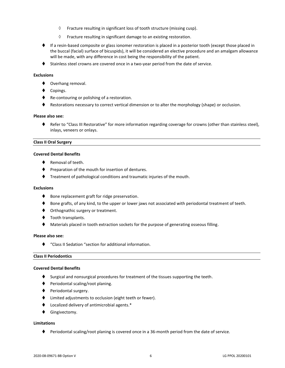- $\Diamond$  Fracture resulting in significant loss of tooth structure (missing cusp).
- $\Diamond$  Fracture resulting in significant damage to an existing restoration.
- ♦ If a resin-based composite or glass ionomer restoration is placed in a posterior tooth (except those placed in the buccal (facial) surface of bicuspids), it will be considered an elective procedure and an amalgam allowance will be made, with any difference in cost being the responsibility of the patient.
- ◆ Stainless steel crowns are covered once in a two-year period from the date of service.

#### **Exclusions**

- ◆ Overhang removal.
- Copings.
- ◆ Re-contouring or polishing of a restoration.
- ♦ Restorations necessary to correct vertical dimension or to alter the morphology (shape) or occlusion.

#### **Please also see:**

⧫ Refer to "Class III Restorative" for more information regarding coverage for crowns (other than stainless steel), inlays, veneers or onlays.

#### **Class II Oral Surgery**

#### **Covered Dental Benefits**

- Removal of teeth.
- ♦ Preparation of the mouth for insertion of dentures.
- ⧫ Treatment of pathological conditions and traumatic injuries of the mouth.

#### **Exclusions**

- ♦ Bone replacement graft for ridge preservation.
- ♦ Bone grafts, of any kind, to the upper or lower jaws not associated with periodontal treatment of teeth.
- ♦ Orthognathic surgery or treatment.
- ◆ Tooth transplants.
- Materials placed in tooth extraction sockets for the purpose of generating osseous filling.

#### **Please also see:**

⧫ "Class II Sedation "section for additional information.

#### **Class II Periodontics**

#### **Covered Dental Benefits**

- ♦ Surgical and nonsurgical procedures for treatment of the tissues supporting the teeth.
- ⧫ Periodontal scaling/root planing.
- ◆ Periodontal surgery.
- ⧫ Limited adjustments to occlusion (eight teeth or fewer).
- ⧫ Localized delivery of antimicrobial agents.\*
- ⧫ Gingivectomy.

#### **Limitations**

♦ Periodontal scaling/root planing is covered once in a 36-month period from the date of service.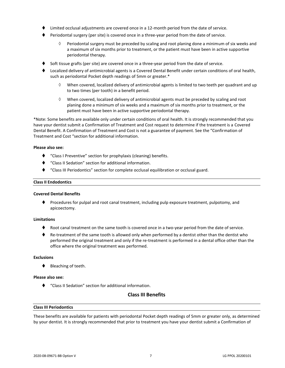- Limited occlusal adjustments are covered once in a 12-month period from the date of service.
- ⧫ Periodontal surgery (per site) is covered once in a three-year period from the date of service.
	- $\Diamond$  Periodontal surgery must be preceded by scaling and root planing done a minimum of six weeks and a maximum of six months prior to treatment, or the patient must have been in active supportive periodontal therapy.
- Soft tissue grafts (per site) are covered once in a three-year period from the date of service.
- ⧫ Localized delivery of antimicrobial agents is a Covered Dental Benefit under certain conditions of oral health, such as periodontal Pocket depth readings of 5mm or greater.\*
	- When covered, localized delivery of antimicrobial agents is limited to two teeth per quadrant and up to two times (per tooth) in a benefit period.
	- $\Diamond$  When covered, localized delivery of antimicrobial agents must be preceded by scaling and root planing done a minimum of six weeks and a maximum of six months prior to treatment, or the patient must have been in active supportive periodontal therapy.

\*Note: Some benefits are available only under certain conditions of oral health. It is strongly recommended that you have your dentist submit a Confirmation of Treatment and Cost request to determine if the treatment is a Covered Dental Benefit. A Confirmation of Treatment and Cost is not a guarantee of payment. See the "Confirmation of Treatment and Cost "section for additional information.

#### **Please also see:**

- ⧫ "Class I Preventive" section for prophylaxis (cleaning) benefits.
- ⧫ "Class II Sedation" section for additional information.
- ⧫ "Class III Periodontics" section for complete occlusal equilibration or occlusal guard.

#### **Class II Endodontics**

#### **Covered Dental Benefits**

⧫ Procedures for pulpal and root canal treatment, including pulp exposure treatment, pulpotomy, and apicoectomy.

#### **Limitations**

- Root canal treatment on the same tooth is covered once in a two-year period from the date of service.
- ♦ Re-treatment of the same tooth is allowed only when performed by a dentist other than the dentist who performed the original treatment and only if the re-treatment is performed in a dental office other than the office where the original treatment was performed.

#### **Exclusions**

⧫ Bleaching of teeth.

#### **Please also see:**

⧫ "Class II Sedation" section for additional information.

## **Class III Benefits**

#### **Class III Periodontics**

These benefits are available for patients with periodontal Pocket depth readings of 5mm or greater only, as determined by your dentist. It is strongly recommended that prior to treatment you have your dentist submit a Confirmation of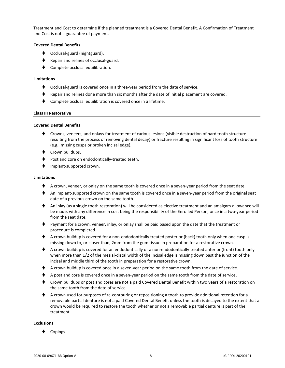Treatment and Cost to determine if the planned treatment is a Covered Dental Benefit. A Confirmation of Treatment and Cost is not a guarantee of payment.

#### **Covered Dental Benefits**

- ◆ Occlusal-guard (nightguard).
- ◆ Repair and relines of occlusal-guard.
- Complete occlusal equilibration.

#### **Limitations**

- ⧫ Occlusal-guard is covered once in a three-year period from the date of service.
- ⧫ Repair and relines done more than six months after the date of initial placement are covered.
- Complete occlusal equilibration is covered once in a lifetime.

#### **Class III Restorative**

#### **Covered Dental Benefits**

- ⧫ Crowns, veneers, and onlays for treatment of carious lesions (visible destruction of hard tooth structure resulting from the process of removing dental decay) or fracture resulting in significant loss of tooth structure (e.g., missing cusps or broken incisal edge).
- ◆ Crown buildups.
- Post and core on endodontically-treated teeth.
- ⧫ Implant-supported crown.

#### **Limitations**

- ♦ A crown, veneer, or onlay on the same tooth is covered once in a seven-year period from the seat date.
- ♦ An implant-supported crown on the same tooth is covered once in a seven-year period from the original seat date of a previous crown on the same tooth.
- ◆ An inlay (as a single tooth restoration) will be considered as elective treatment and an amalgam allowance will be made, with any difference in cost being the responsibility of the Enrolled Person, once in a two-year period from the seat date.
- ⧫ Payment for a crown, veneer, inlay, or onlay shall be paid based upon the date that the treatment or procedure is completed.
- ♦ A crown buildup is covered for a non-endodontically treated posterior (back) tooth only when one cusp is missing down to, or closer than, 2mm from the gum tissue in preparation for a restorative crown.
- ♦ A crown buildup is covered for an endodontically or a non-endodontically treated anterior (front) tooth only when more than 1/2 of the mesial-distal width of the incisal edge is missing down past the junction of the incisal and middle third of the tooth in preparation for a restorative crown.
- ◆ A crown buildup is covered once in a seven-year period on the same tooth from the date of service.
- ♦ A post and core is covered once in a seven-year period on the same tooth from the date of service.
- ◆ Crown buildups or post and cores are not a paid Covered Dental Benefit within two years of a restoration on the same tooth from the date of service.
- ◆ A crown used for purposes of re-contouring or repositioning a tooth to provide additional retention for a removable partial denture is not a paid Covered Dental Benefit unless the tooth is decayed to the extent that a crown would be required to restore the tooth whether or not a removable partial denture is part of the treatment.

#### **Exclusions**

Copings.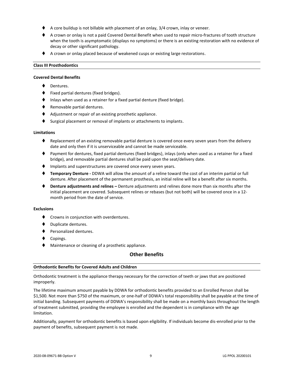- A core buildup is not billable with placement of an onlay, 3/4 crown, inlay or veneer.
- ♦ A crown or onlay is not a paid Covered Dental Benefit when used to repair micro-fractures of tooth structure when the tooth is asymptomatic (displays no symptoms) or there is an existing restoration with no evidence of decay or other significant pathology.
- ◆ A crown or onlay placed because of weakened cusps or existing large restorations.

#### **Class III Prosthodontics**

#### **Covered Dental Benefits**

- Dentures.
- ⧫ Fixed partial dentures (fixed bridges).
- Inlays when used as a retainer for a fixed partial denture (fixed bridge).
- ◆ Removable partial dentures.
- ◆ Adjustment or repair of an existing prosthetic appliance.
- Surgical placement or removal of implants or attachments to implants.

#### **Limitations**

- Replacement of an existing removable partial denture is covered once every seven years from the delivery date and only then if it is unserviceable and cannot be made serviceable.
- ⧫ Payment for dentures, fixed partial dentures (fixed bridges), inlays (only when used as a retainer for a fixed bridge), and removable partial dentures shall be paid upon the seat/delivery date.
- ♦ Implants and superstructures are covered once every seven years.
- ⧫ **Temporary Denture -** DDWA will allow the amount of a reline toward the cost of an interim partial or full denture. After placement of the permanent prosthesis, an initial reline will be a benefit after six months.
- ⧫ **Denture adjustments and relines –** Denture adjustments and relines done more than six months after the initial placement are covered. Subsequent relines or rebases (but not both) will be covered once in a 12 month period from the date of service.

#### **Exclusions**

- ◆ Crowns in conjunction with overdentures.
- ⧫ Duplicate dentures.
- ⧫ Personalized dentures.
- Copings.
- ◆ Maintenance or cleaning of a prosthetic appliance.

#### **Other Benefits**

#### **Orthodontic Benefits for Covered Adults and Children**

Orthodontic treatment is the appliance therapy necessary for the correction of teeth or jaws that are positioned improperly.

The lifetime maximum amount payable by DDWA for orthodontic benefits provided to an Enrolled Person shall be \$1,500. Not more than \$750 of the maximum, or one-half of DDWA's total responsibility shall be payable at the time of initial banding. Subsequent payments of DDWA's responsibility shall be made on a monthly basis throughout the length of treatment submitted, providing the employee is enrolled and the dependent is in compliance with the age limitation.

Additionally, payment for orthodontic benefits is based upon eligibility. If individuals become dis-enrolled prior to the payment of benefits, subsequent payment is not made.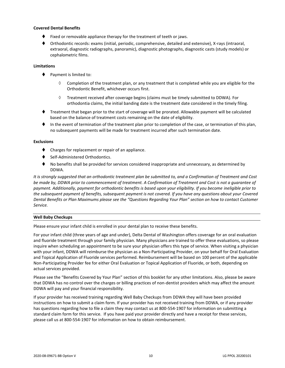#### **Covered Dental Benefits**

- Fixed or removable appliance therapy for the treatment of teeth or jaws.
- ⧫ Orthodontic records: exams (initial, periodic, comprehensive, detailed and extensive), X-rays (intraoral, extraoral, diagnostic radiographs, panoramic), diagnostic photographs, diagnostic casts (study models) or cephalometric films.

#### **Limitations**

- ♦ Payment is limited to:
	- $\Diamond$  Completion of the treatment plan, or any treatment that is completed while you are eligible for the Orthodontic Benefit, whichever occurs first.
	- $\Diamond$  Treatment received after coverage begins (claims must be timely submitted to DDWA). For orthodontia claims, the initial banding date is the treatment date considered in the timely filing.
- ⧫ Treatment that began prior to the start of coverage will be prorated. Allowable payment will be calculated based on the balance of treatment costs remaining on the date of eligibility.
- ⧫ In the event of termination of the treatment plan prior to completion of the case, or termination of this plan, no subsequent payments will be made for treatment incurred after such termination date.

#### **Exclusions**

- ⧫ Charges for replacement or repair of an appliance.
- Self-Administered Orthodontics.
- No benefits shall be provided for services considered inappropriate and unnecessary, as determined by DDWA.

*It is strongly suggested that an orthodontic treatment plan be submitted to, and a Confirmation of Treatment and Cost be made by, DDWA prior to commencement of treatment. A Confirmation of Treatment and Cost is not a guarantee of payment. Additionally, payment for orthodontic benefits is based upon your eligibility. If you become ineligible prior to the subsequent payment of benefits, subsequent payment is not covered. If you have any questions about your Covered Dental Benefits or Plan Maximums please see the "Questions Regarding Your Plan" section on how to contact Customer Service.*

#### **Well Baby Checkups**

Please ensure your infant child is enrolled in your dental plan to receive these benefits.

For your infant child (three years of age and under), Delta Dental of Washington offers coverage for an oral evaluation and fluoride treatment through your family physician. Many physicians are trained to offer these evaluations, so please inquire when scheduling an appointment to be sure your physician offers this type of service. When visiting a physician with your infant, DDWA will reimburse the physician as a Non-Participating Provider, on your behalf for Oral Evaluation and Topical Application of Fluoride services performed. Reimbursement will be based on 100 percent of the applicable Non-Participating Provider fee for either Oral Evaluation or Topical Application of Fluoride, or both, depending on actual services provided.

Please see the "Benefits Covered by Your Plan" section of this booklet for any other limitations. Also, please be aware that DDWA has no control over the charges or billing practices of non-dentist providers which may affect the amount DDWA will pay and your financial responsibility.

If your provider has received training regarding Well Baby Checkups from DDWA they will have been provided instructions on how to submit a claim form. If your provider has not received training from DDWA, or if any provider has questions regarding how to file a claim they may contact us at 800-554-1907 for information on submitting a standard claim form for this service. If you have paid your provider directly and have a receipt for these services, please call us at 800-554-1907 for information on how to obtain reimbursement.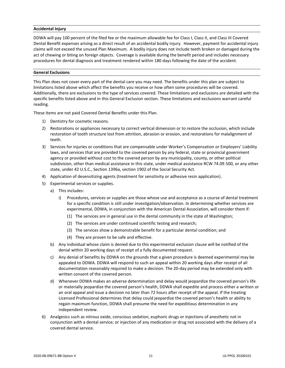#### **Accidental Injury**

DDWA will pay 100 percent of the filed fee or the maximum allowable fee for Class I, Class II, and Class III Covered Dental Benefit expenses arising as a direct result of an accidental bodily injury. However, payment for accidental injury claims will not exceed the unused Plan Maximum. A bodily injury does not include teeth broken or damaged during the act of chewing or biting on foreign objects. Coverage is available during the benefit period and includes necessary procedures for dental diagnosis and treatment rendered within 180 days following the date of the accident.

#### **General Exclusions**

This Plan does not cover every part of the dental care you may need. The benefits under this plan are subject to limitations listed above which affect the benefits you receive or how often some procedures will be covered. Additionally, there are exclusions to the type of services covered. These limitations and exclusions are detailed with the specific benefits listed above and in this General Exclusion section. These limitations and exclusions warrant careful reading.

These items are not paid Covered Dental Benefits under this Plan.

- 1) Dentistry for cosmetic reasons.
- 2) Restorations or appliances necessary to correct vertical dimension or to restore the occlusion, which include restoration of tooth structure lost from attrition, abrasion or erosion, and restorations for malalignment of teeth.
- 3) Services for injuries or conditions that are compensable under Worker's Compensation or Employers' Liability laws, and services that are provided to the covered person by any federal, state or provincial government agency or provided without cost to the covered person by any municipality, county, or other political subdivision, other than medical assistance in this state, under medical assistance RCW 74.09.500, or any other state, under 42 U.S.C., Section 1396a, section 1902 of the Social Security Act.
- 4) Application of desensitizing agents (treatment for sensitivity or adhesive resin application).
- 5) Experimental services or supplies.
	- a) This includes:
		- i) Procedures, services or supplies are those whose use and acceptance as a course of dental treatment for a specific condition is still under investigation/observation. In determining whether services are experimental, DDWA, in conjunction with the American Dental Association, will consider them if:
			- (1) The services are in general use in the dental community in the state of Washington;
			- (2) The services are under continued scientific testing and research;
			- (3) The services show a demonstrable benefit for a particular dental condition; and
			- (4) They are proven to be safe and effective.
	- b) Any individual whose claim is denied due to this experimental exclusion clause will be notified of the denial within 20 working days of receipt of a fully documented request.
	- c) Any denial of benefits by DDWA on the grounds that a given procedure is deemed experimental may be appealed to DDWA. DDWA will respond to such an appeal within 20 working days after receipt of all documentation reasonably required to make a decision. The 20-day period may be extended only with written consent of the covered person.
	- d) Whenever DDWA makes an adverse determination and delay would jeopardize the covered person's life or materially jeopardize the covered person's health, DDWA shall expedite and process either a written or an oral appeal and issue a decision no later than 72 hours after receipt of the appeal. If the treating Licensed Professional determines that delay could jeopardize the covered person's health or ability to regain maximum function, DDWA shall presume the need for expeditious determination in any independent review.
- 6) Analgesics such as nitrous oxide, conscious sedation, euphoric drugs or injections of anesthetic not in conjunction with a dental service; or injection of any medication or drug not associated with the delivery of a covered dental service.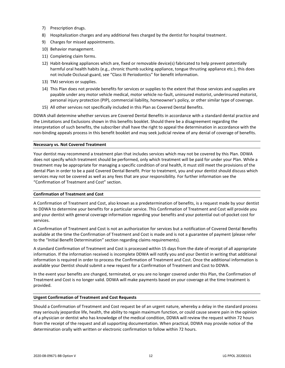- 7) Prescription drugs.
- 8) Hospitalization charges and any additional fees charged by the dentist for hospital treatment.
- 9) Charges for missed appointments.
- 10) Behavior management.
- 11) Completing claim forms.
- 12) Habit-breaking appliances which are, fixed or removable device(s) fabricated to help prevent potentially harmful oral health habits (e.g., chronic thumb sucking appliance, tongue thrusting appliance etc.), this does not include Occlusal-guard, see "Class III Periodontics" for benefit information.
- 13) TMJ services or supplies.
- 14) This Plan does not provide benefits for services or supplies to the extent that those services and supplies are payable under any motor vehicle medical, motor vehicle no-fault, uninsured motorist, underinsured motorist, personal injury protection (PIP), commercial liability, homeowner's policy, or other similar type of coverage.
- 15) All other services not specifically included in this Plan as Covered Dental Benefits.

DDWA shall determine whether services are Covered Dental Benefits in accordance with a standard dental practice and the Limitations and Exclusions shown in this benefits booklet. Should there be a disagreement regarding the interpretation of such benefits, the subscriber shall have the right to appeal the determination in accordance with the non-binding appeals process in this benefit booklet and may seek judicial review of any denial of coverage of benefits.

#### **Necessary vs. Not Covered Treatment**

Your dentist may recommend a treatment plan that includes services which may not be covered by this Plan. DDWA does not specify which treatment should be performed, only which treatment will be paid for under your Plan. While a treatment may be appropriate for managing a specific condition of oral health, it must still meet the provisions of the dental Plan in order to be a paid Covered Dental Benefit. Prior to treatment, you and your dentist should discuss which services may not be covered as well as any fees that are your responsibility. For further information see the "Confirmation of Treatment and Cost" section.

#### **Confirmation of Treatment and Cost**

A Confirmation of Treatment and Cost, also known as a predetermination of benefits, is a request made by your dentist to DDWA to determine your benefits for a particular service. This Confirmation of Treatment and Cost will provide you and your dentist with general coverage information regarding your benefits and your potential out-of-pocket cost for services.

A Confirmation of Treatment and Cost is not an authorization for services but a notification of Covered Dental Benefits available at the time the Confirmation of Treatment and Cost is made and is not a guarantee of payment (please refer to the "Initial Benefit Determination" section regarding claims requirements).

A standard Confirmation of Treatment and Cost is processed within 15 days from the date of receipt of all appropriate information. If the information received is incomplete DDWA will notify you and your Dentist in writing that additional information is required in order to process the Confirmation of Treatment and Cost. Once the additional information is available your Dentist should submit a new request for a Confirmation of Treatment and Cost to DDWA.

In the event your benefits are changed, terminated, or you are no longer covered under this Plan, the Confirmation of Treatment and Cost is no longer valid. DDWA will make payments based on your coverage at the time treatment is provided.

#### **Urgent Confirmation of Treatment and Cost Requests**

Should a Confirmation of Treatment and Cost request be of an urgent nature, whereby a delay in the standard process may seriously jeopardize life, health, the ability to regain maximum function, or could cause severe pain in the opinion of a physician or dentist who has knowledge of the medical condition, DDWA will review the request within 72 hours from the receipt of the request and all supporting documentation. When practical, DDWA may provide notice of the determination orally with written or electronic confirmation to follow within 72 hours.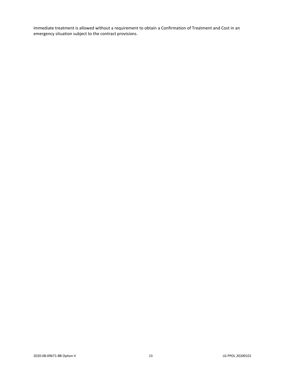Immediate treatment is allowed without a requirement to obtain a Confirmation of Treatment and Cost in an emergency situation subject to the contract provisions.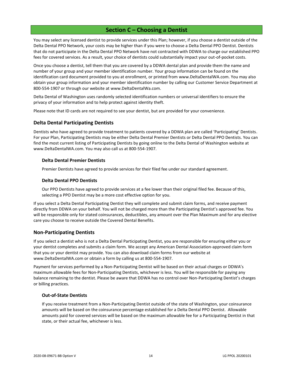## **Section C – Choosing a Dentist**

<span id="page-16-0"></span>You may select any licensed dentist to provide services under this Plan; however, if you choose a dentist outside of the Delta Dental PPO Network, your costs may be higher than if you were to choose a Delta Dental PPO Dentist. Dentists that do not participate in the Delta Dental PPO Network have not contracted with DDWA to charge our established PPO fees for covered services. As a result, your choice of dentists could substantially impact your out-of-pocket costs.

Once you choose a dentist, tell them that you are covered by a DDWA dental plan and provide them the name and number of your group and your member identification number. Your group information can be found on the identification card document provided to you at enrollment, or printed from www.DeltaDentalWA.com. You may also obtain your group information and your member identification number by calling our Customer Service Department at 800-554-1907 or through our website at www.DeltaDentalWa.com.

Delta Dental of Washington uses randomly selected identification numbers or universal identifiers to ensure the privacy of your information and to help protect against identity theft.

Please note that ID cards are not required to see your dentist, but are provided for your convenience.

## <span id="page-16-1"></span>**Delta Dental Participating Dentists**

Dentists who have agreed to provide treatment to patients covered by a DDWA plan are called 'Participating' Dentists. For your Plan, Participating Dentists may be either Delta Dental Premier Dentists or Delta Dental PPO Dentists. You can find the most current listing of Participating Dentists by going online to the Delta Dental of Washington website at www.DeltaDentalWA.com. You may also call us at 800-554-1907.

#### **Delta Dental Premier Dentists**

Premier Dentists have agreed to provide services for their filed fee under our standard agreement.

#### **Delta Dental PPO Dentists**

Our PPO Dentists have agreed to provide services at a fee lower than their original filed fee. Because of this, selecting a PPO Dentist may be a more cost effective option for you.

If you select a Delta Dental Participating Dentist they will complete and submit claim forms, and receive payment directly from DDWA on your behalf. You will not be charged more than the Participating Dentist's approved fee. You will be responsible only for stated coinsurances, deductibles, any amount over the Plan Maximum and for any elective care you choose to receive outside the Covered Dental Benefits.

## <span id="page-16-2"></span>**Non-Participating Dentists**

If you select a dentist who is not a Delta Dental Participating Dentist, you are responsible for ensuring either you or your dentist completes and submits a claim form. We accept any American Dental Association-approved claim form that you or your dentist may provide. You can also download claim forms from our website at www.DeltaDentalWA.com or obtain a form by calling us at 800-554-1907.

Payment for services performed by a Non-Participating Dentist will be based on their actual charges or DDWA's maximum allowable fees for Non-Participating Dentists, whichever is less. You will be responsible for paying any balance remaining to the dentist. Please be aware that DDWA has no control over Non-Participating Dentist's charges or billing practices.

#### **Out-of-State Dentists**

If you receive treatment from a Non-Participating Dentist outside of the state of Washington, your coinsurance amounts will be based on the coinsurance percentage established for a Delta Dental PPO Dentist. Allowable amounts paid for covered services will be based on the maximum allowable fee for a Participating Dentist in that state, or their actual fee, whichever is less.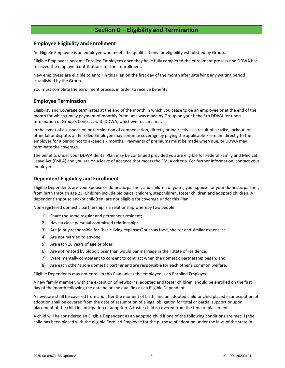## **Section D – Eligibility and Termination**

## <span id="page-17-1"></span><span id="page-17-0"></span>**Employee Eligibility and Enrollment**

An Eligible Employee is an employee who meets the qualifications for eligibility established by Group.

Eligible Employees become Enrolled Employees once they have fully completed the enrollment process and DDWA has received the employer contributions for their enrollment.

New employees are eligible to enroll in this Plan on the first day of the month after satisfying any waiting period established by the Group.

You must complete the enrollment process in order to receive benefits.

## <span id="page-17-2"></span>**Employee Termination**

Eligibility and Coverage terminates at the end of the month in which you cease to be an employee or at the end of the month for which timely payment of monthly Premiums was made by Group on your behalf to DDWA, or upon termination of Group's Contract with DDWA, whichever occurs first.

In the event of a suspension or termination of compensation, directly or indirectly as a result of a strike, lockout, or other labor dispute, an Enrolled Employee may continue coverage by paying the applicable Premium directly to the employer for a period not to exceed six months. Payments of premiums must be made when due, or DDWA may terminate the coverage.

The benefits under your DDWA dental Plan may be continued provided you are eligible for Federal Family and Medical Leave Act (FMLA) and you are on a leave of absence that meets the FMLA criteria. For further information, contact your employer.

## <span id="page-17-3"></span>**Dependent Eligibility and Enrollment**

Eligible Dependents are your spouse or domestic partner, and children of yours, your spouse, or your domestic partner, from birth through age 25. Children include biological children, stepchildren, foster children and adopted children. A dependent's spouse and/or child(ren) are not eligible for coverage under this Plan.

Non-registered domestic partnership is a relationship whereby two people:

- 1) Share the same regular and permanent resident;
- 2) Have a close personal committed relationship;
- 3) Are jointly responsible for "basic living expenses" such as food, shelter and similar expenses;
- 4) Are not married to anyone;
- 5) Are each 18 years of age or older;
- 6) Are not related by blood closer than would bar marriage in their state of residence;
- 7) Were mentally competent to consent to contract when the domestic partnership began; and
- 8) Are each other's sole domestic partner and are responsible for each other's common welfare.

Eligible Dependents may not enroll in this Plan unless the employee is an Enrolled Employee.

A new family member, with the exception of newborns, adopted and foster children, should be enrolled on the first day of the month following the date he or she qualifies as an Eligible Dependent.

A newborn shall be covered from and after the moment of birth, and an adopted child or child placed in anticipation of adoption shall be covered from the date of assumption of a legal obligation for total or partial support or upon placement of the child in anticipation of adoption. A foster child is covered from the time of placement.

A child will be considered an Eligible Dependent as an adopted child if one of the following conditions are met: 1) the child has been placed with the eligible Enrolled Employee for the purpose of adoption under the laws of the state in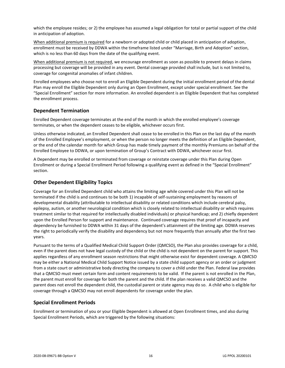which the employee resides; or 2) the employee has assumed a legal obligation for total or partial support of the child in anticipation of adoption.

When additional premium is required for a newborn or adopted child or child placed in anticipation of adoption, enrollment must be received by DDWA within the timeframe listed under "Marriage, Birth and Adoption" section, which is no less than 60 days from the date of the qualifying event.

When additional premium is not required, we encourage enrollment as soon as possible to prevent delays in claims processing but coverage will be provided in any event. Dental coverage provided shall include, but is not limited to, coverage for congenital anomalies of infant children.

Enrolled employees who choose not to enroll an Eligible Dependent during the initial enrollment period of the dental Plan may enroll the Eligible Dependent only during an Open Enrollment, except under special enrollment. See the "Special Enrollment" section for more information. An enrolled dependent is an Eligible Dependent that has completed the enrollment process.

## <span id="page-18-0"></span>**Dependent Termination**

Enrolled Dependent coverage terminates at the end of the month in which the enrolled employee's coverage terminates, or when the dependent ceases to be eligible, whichever occurs first.

Unless otherwise indicated, an Enrolled Dependent shall cease to be enrolled in this Plan on the last day of the month of the Enrolled Employee's employment, or when the person no longer meets the definition of an Eligible Dependent, or the end of the calendar month for which Group has made timely payment of the monthly Premiums on behalf of the Enrolled Employee to DDWA, or upon termination of Group's Contract with DDWA, whichever occur first.

A Dependent may be enrolled or terminated from coverage or reinstate coverage under this Plan during Open Enrollment or during a Special Enrollment Period following a qualifying event as defined in the "Special Enrollment" section.

## <span id="page-18-1"></span>**Other Dependent Eligibility Topics**

Coverage for an Enrolled Dependent child who attains the limiting age while covered under this Plan will not be terminated if the child is and continues to be both 1) incapable of self-sustaining employment by reasons of developmental disability (attributable to intellectual disability or related conditions which include cerebral palsy, epilepsy, autism, or another neurological condition which is closely related to intellectual disability or which requires treatment similar to that required for intellectually disabled individuals) or physical handicap; and 2) chiefly dependent upon the Enrolled Person for support and maintenance. Continued coverage requires that proof of incapacity and dependency be furnished to DDWA within 31 days of the dependent's attainment of the limiting age. DDWA reserves the right to periodically verify the disability and dependency but not more frequently than annually after the first two years.

Pursuant to the terms of a Qualified Medical Child Support Order (QMCSO), the Plan also provides coverage for a child, even if the parent does not have legal custody of the child or the child is not dependent on the parent for support. This applies regardless of any enrollment season restrictions that might otherwise exist for dependent coverage. A QMCSO may be either a National Medical Child Support Notice issued by a state child support agency or an order or judgment from a state court or administrative body directing the company to cover a child under the Plan. Federal law provides that a QMCSO must meet certain form and content requirements to be valid. If the parent is not enrolled in the Plan, the parent must enroll for coverage for both the parent and the child. If the plan receives a valid QMCSO and the parent does not enroll the dependent child, the custodial parent or state agency may do so. A child who is eligible for coverage through a QMCSO may not enroll dependents for coverage under the plan.

## <span id="page-18-2"></span>**Special Enrollment Periods**

Enrollment or termination of you or your Eligible Dependent is allowed at Open Enrollment times, and also during Special Enrollment Periods, which are triggered by the following situations: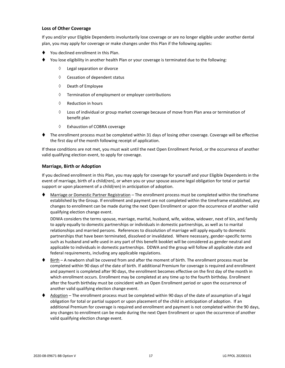## **Loss of Other Coverage**

If you and/or your Eligible Dependents involuntarily lose coverage or are no longer eligible under another dental plan, you may apply for coverage or make changes under this Plan if the following applies:

- You declined enrollment in this Plan.
- You lose eligibility in another health Plan or your coverage is terminated due to the following:
	- Legal separation or divorce
	- $\Diamond$  Cessation of dependent status
	- $\Diamond$  Death of Employee
	- $\Diamond$  Termination of employment or employer contributions
	- $\Diamond$  Reduction in hours
	- $\Diamond$  Loss of individual or group market coverage because of move from Plan area or termination of benefit plan
	- Exhaustion of COBRA coverage
- ⧫ The enrollment process must be completed within 31 days of losing other coverage. Coverage will be effective the first day of the month following receipt of application.

If these conditions are not met, you must wait until the next Open Enrollment Period, or the occurrence of another valid qualifying election event, to apply for coverage.

#### **Marriage, Birth or Adoption**

If you declined enrollment in this Plan, you may apply for coverage for yourself and your Eligible Dependents in the event of marriage, birth of a child(ren), or when you or your spouse assume legal obligation for total or partial support or upon placement of a child(ren) in anticipation of adoption.

Marriage or Domestic Partner Registration – The enrollment process must be completed within the timeframe established by the Group. If enrollment and payment are not completed within the timeframe established, any changes to enrollment can be made during the next Open Enrollment or upon the occurrence of another valid qualifying election change event.

DDWA considers the terms spouse, marriage, marital, husband, wife, widow, widower, next of kin, and family to apply equally to domestic partnerships or individuals in domestic partnerships, as well as to marital relationships and married persons. References to dissolution of marriage will apply equally to domestic partnerships that have been terminated, dissolved or invalidated. Where necessary, gender-specific terms such as husband and wife used in any part of this benefit booklet will be considered as gender neutral and applicable to individuals in domestic partnerships. DDWA and the group will follow all applicable state and federal requirements, including any applicable regulations.

- ♦ Birth A newborn shall be covered from and after the moment of birth. The enrollment process must be completed within 90 days of the date of birth. If additional Premium for coverage is required and enrollment and payment is completed after 90 days, the enrollment becomes effective on the first day of the month in which enrollment occurs. Enrollment may be completed at any time up to the fourth birthday. Enrollment after the fourth birthday must be coincident with an Open Enrollment period or upon the occurrence of another valid qualifying election change event.
- Adoption The enrollment process must be completed within 90 days of the date of assumption of a legal obligation for total or partial support or upon placement of the child in anticipation of adoption. If an additional Premium for coverage is required and enrollment and payment is not completed within the 90 days, any changes to enrollment can be made during the next Open Enrollment or upon the occurrence of another valid qualifying election change event.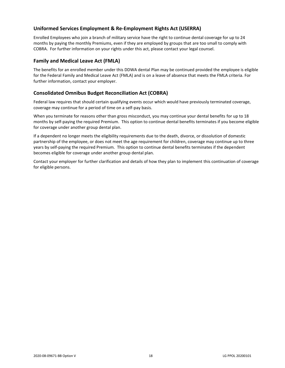## <span id="page-20-0"></span>**Uniformed Services Employment & Re-Employment Rights Act (USERRA)**

Enrolled Employees who join a branch of military service have the right to continue dental coverage for up to 24 months by paying the monthly Premiums, even if they are employed by groups that are too small to comply with COBRA. For further information on your rights under this act, please contact your legal counsel.

## <span id="page-20-1"></span>**Family and Medical Leave Act (FMLA)**

The benefits for an enrolled member under this DDWA dental Plan may be continued provided the employee is eligible for the Federal Family and Medical Leave Act (FMLA) and is on a leave of absence that meets the FMLA criteria. For further information, contact your employer.

## <span id="page-20-2"></span>**Consolidated Omnibus Budget Reconciliation Act (COBRA)**

Federal law requires that should certain qualifying events occur which would have previously terminated coverage, coverage may continue for a period of time on a self-pay basis.

When you terminate for reasons other than gross misconduct, you may continue your dental benefits for up to 18 months by self-paying the required Premium. This option to continue dental benefits terminates if you become eligible for coverage under another group dental plan.

If a dependent no longer meets the eligibility requirements due to the death, divorce, or dissolution of domestic partnership of the employee, or does not meet the age requirement for children, coverage may continue up to three years by self-paying the required Premium. This option to continue dental benefits terminates if the dependent becomes eligible for coverage under another group dental plan.

Contact your employer for further clarification and details of how they plan to implement this continuation of coverage for eligible persons.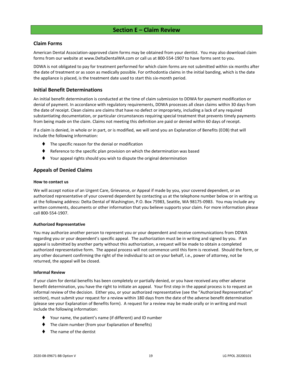## **Section E – Claim Review**

## <span id="page-21-1"></span><span id="page-21-0"></span>**Claim Forms**

American Dental Association-approved claim forms may be obtained from your dentist. You may also download claim forms from our website at www.DeltaDentalWA.com or call us at 800-554-1907 to have forms sent to you.

DDWA is not obligated to pay for treatment performed for which claim forms are not submitted within six months after the date of treatment or as soon as medically possible. For orthodontia claims in the initial banding, which is the date the appliance is placed, is the treatment date used to start this six-month period.

## <span id="page-21-2"></span>**Initial Benefit Determinations**

An initial benefit determination is conducted at the time of claim submission to DDWA for payment modification or denial of payment. In accordance with regulatory requirements, DDWA processes all clean claims within 30 days from the date of receipt. Clean claims are claims that have no defect or impropriety, including a lack of any required substantiating documentation, or particular circumstances requiring special treatment that prevents timely payments from being made on the claim. Claims not meeting this definition are paid or denied within 60 days of receipt.

If a claim is denied, in whole or in part, or is modified, we will send you an Explanation of Benefits (EOB) that will include the following information:

- The specific reason for the denial or modification
- Reference to the specific plan provision on which the determination was based
- Your appeal rights should you wish to dispute the original determination

## <span id="page-21-3"></span>**Appeals of Denied Claims**

#### **How to contact us**

We will accept notice of an Urgent Care, Grievance, or Appeal if made by you, your covered dependent, or an authorized representative of your covered dependent by contacting us at the telephone number below or in writing us at the following address: Delta Dental of Washington, P.O. Box 75983, Seattle, WA 98175-0983. You may include any written comments, documents or other information that you believe supports your claim. For more information please call 800-554-1907.

#### **Authorized Representative**

You may authorize another person to represent you or your dependent and receive communications from DDWA regarding you or your dependent's specific appeal. The authorization must be in writing and signed by you. If an appeal is submitted by another party without this authorization, a request will be made to obtain a completed authorized representative form. The appeal process will not commence until this form is received. Should the form, or any other document confirming the right of the individual to act on your behalf, i.e., power of attorney, not be returned, the appeal will be closed.

#### **Informal Review**

If your claim for dental benefits has been completely or partially denied, or you have received any other adverse benefit determination, you have the right to initiate an appeal. Your first step in the appeal process is to request an informal review of the decision. Either you, or your authorized representative (see the "Authorized Representative" section), must submit your request for a review within 180 days from the date of the adverse benefit determination (please see your Explanation of Benefits form). A request for a review may be made orally or in writing and must include the following information:

- ⧫ Your name, the patient's name (if different) and ID number
- The claim number (from your Explanation of Benefits)
- The name of the dentist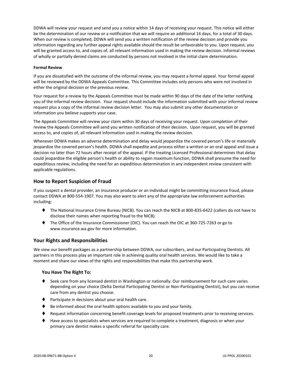DDWA will review your request and send you a notice within 14 days of receiving your request. This notice will either be the determination of our review or a notification that we will require an additional 16 days, for a total of 30 days. When our review is completed, DDWA will send you a written notification of the review decision and provide you information regarding any further appeal rights available should the result be unfavorable to you. Upon request, you will be granted access to, and copies of, all relevant information used in making the review decision. Informal reviews of wholly or partially denied claims are conducted by persons not involved in the initial claim determination.

#### **Formal Review**

If you are dissatisfied with the outcome of the informal review, you may request a formal appeal. Your formal appeal will be reviewed by the DDWA Appeals Committee. This Committee includes only persons who were not involved in either the original decision or the previous review.

Your request for a review by the Appeals Committee must be made within 90 days of the date of the letter notifying you of the informal review decision. Your request should include the information submitted with your informal review request plus a copy of the informal review decision letter. You may also submit any other documentation or information you believe supports your case.

The Appeals Committee will review your claim within 30 days of receiving your request. Upon completion of their review the Appeals Committee will send you written notification of their decision. Upon request, you will be granted access to, and copies of, all relevant information used in making the review decision.

Whenever DDWA makes an adverse determination and delay would jeopardize the covered person's life or materially jeopardize the covered person's health, DDWA shall expedite and process either a written or an oral appeal and issue a decision no later than 72 hours after receipt of the appeal. If the treating Licensed Professional determines that delay could jeopardize the eligible person's health or ability to regain maximum function, DDWA shall presume the need for expeditious review, including the need for an expeditious determination in any independent review consistent with applicable regulations.

## <span id="page-22-0"></span>**How to Report Suspicion of Fraud**

If you suspect a dental provider, an insurance producer or an individual might be committing insurance fraud, please contact DDWA at 800-554-1907. You may also want to alert any of the appropriate law enforcement authorities including:

- ⧫ The National Insurance Crime Bureau (NICB). You can reach the NICB at 800-835-6422 (callers do not have to disclose their names when reporting fraud to the NICB).
- ⧫ The Office of the Insurance Commissioner (OIC). You can reach the OIC at 360-725-7263 or go to www.insurance.wa.gov for more information.

## <span id="page-22-1"></span>**Your Rights and Responsibilities**

We view our benefit packages as a partnership between DDWA, our subscribers, and our Participating Dentists. All partners in this process play an important role in achieving quality oral health services. We would like to take a moment and share our views of the rights and responsibilities that make this partnership work.

#### **You Have The Right To:**

- ♦ Seek care from any licensed dentist in Washington or nationally. Our reimbursement for such care varies depending on your choice (Delta Dental Participating Dentist or Non-Participating Dentist), but you can receive care from any dentist you choose.
- ⧫ Participate in decisions about your oral health care.
- Be informed about the oral health options available to you and your family.
- ♦ Request information concerning benefit coverage levels for proposed treatments prior to receiving services.
- ⧫ Have access to specialists when services are required to complete a treatment, diagnosis or when your primary care dentist makes a specific referral for specialty care.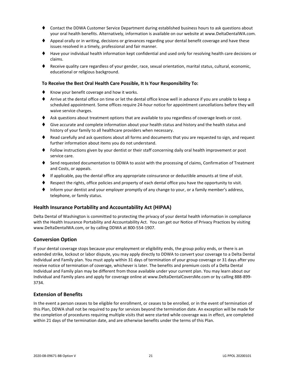- ⧫ Contact the DDWA Customer Service Department during established business hours to ask questions about your oral health benefits. Alternatively, information is available on our website at www.DeltaDentalWA.com.
- ♦ Appeal orally or in writing, decisions or grievances regarding your dental benefit coverage and have these issues resolved in a timely, professional and fair manner.
- ⧫ Have your individual health information kept confidential and used only for resolving health care decisions or claims.
- ⧫ Receive quality care regardless of your gender, race, sexual orientation, marital status, cultural, economic, educational or religious background.

#### **To Receive the Best Oral Health Care Possible, It Is Your Responsibility To:**

- ♦ Know your benefit coverage and how it works.
- ⧫ Arrive at the dental office on time or let the dental office know well in advance if you are unable to keep a scheduled appointment. Some offices require 24-hour notice for appointment cancellations before they will waive service charges.
- ♦ Ask questions about treatment options that are available to you regardless of coverage levels or cost.
- ♦ Give accurate and complete information about your health status and history and the health status and history of your family to all healthcare providers when necessary.
- ♦ Read carefully and ask questions about all forms and documents that you are requested to sign, and request further information about items you do not understand.
- ⧫ Follow instructions given by your dentist or their staff concerning daily oral health improvement or post service care.
- ♦ Send requested documentation to DDWA to assist with the processing of claims, Confirmation of Treatment and Costs, or appeals.
- ⧫ If applicable, pay the dental office any appropriate coinsurance or deductible amounts at time of visit.
- Respect the rights, office policies and property of each dental office you have the opportunity to visit.
- Inform your dentist and your employer promptly of any change to your, or a family member's address, telephone, or family status.

#### <span id="page-23-0"></span>**Health Insurance Portability and Accountability Act (HIPAA)**

Delta Dental of Washington is committed to protecting the privacy of your dental health information in compliance with the Health Insurance Portability and Accountability Act. You can get our Notice of Privacy Practices by visiting www.DeltaDentalWA.com, or by calling DDWA at 800-554-1907.

#### <span id="page-23-1"></span>**Conversion Option**

If your dental coverage stops because your employment or eligibility ends, the group policy ends, or there is an extended strike, lockout or labor dispute, you may apply directly to DDWA to convert your coverage to a Delta Dental Individual and Family plan. You must apply within 31 days of termination of your group coverage or 31 days after you receive notice of termination of coverage, whichever is later. The benefits and premium costs of a Delta Dental Individual and Family plan may be different from those available under your current plan. You may learn about our Individual and Family plans and apply for coverage online at www.DeltaDentalCoversMe.com or by calling 888-899- 3734.

## <span id="page-23-2"></span>**Extension of Benefits**

In the event a person ceases to be eligible for enrollment, or ceases to be enrolled, or in the event of termination of this Plan, DDWA shall not be required to pay for services beyond the termination date. An exception will be made for the completion of procedures requiring multiple visits that were started while coverage was in effect, are completed within 21 days of the termination date, and are otherwise benefits under the terms of this Plan.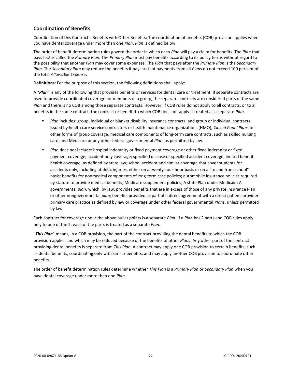## <span id="page-24-0"></span>**Coordination of Benefits**

Coordination of this Contract's Benefits with Other Benefits: The coordination of benefits (COB) provision applies when you have dental coverage under more than one *Plan*. *Plan* is defined below.

The order of benefit determination rules govern the order in which each *Plan* will pay a claim for benefits. The *Plan* that pays first is called the *Primary Plan*. The *Primary Plan* must pay benefits according to its policy terms without regard to the possibility that another *Plan* may cover some expenses. The *Plan* that pays after the *Primary Plan* is the *Secondary Plan*. The *Secondary Plan* may reduce the benefits it pays so that payments from all *Plan*s do not exceed 100 percent of the total *Allowable Expense*.

**Definitions:** For the purpose of this section, the following definitions shall apply:

A "*Plan*" is any of the following that provides benefits or services for dental care or treatment. If separate contracts are used to provide coordinated coverage for members of a group, the separate contracts are considered parts of the same *Plan* and there is no COB among those separate contracts. However, if COB rules do not apply to all contracts, or to all benefits in the same contract, the contract or benefit to which COB does not apply is treated as a separate *Plan*.

- *Plan* includes: group, individual or blanket disability insurance contracts, and group or individual contracts issued by health care service contractors or health maintenance organizations (HMO), *Closed Panel Plan*s or other forms of group coverage; medical care components of long-term care contracts, such as skilled nursing care; and Medicare or any other federal governmental *Plan*, as permitted by law.
- **■** *Plan* does not include: hospital indemnity or fixed payment coverage or other fixed indemnity or fixed payment coverage; accident only coverage; specified disease or specified accident coverage; limited benefit health coverage, as defined by state law; school accident and similar coverage that cover students for accidents only, including athletic injuries, either on a twenty-four-hour basis or on a "to and from school" basis; benefits for nonmedical components of long-term care policies; automobile insurance policies required by statute to provide medical benefits; Medicare supplement policies; A state Plan under Medicaid; A governmental *plan*, which, by law, provides benefits that are in excess of those of any private insurance Plan or other nongovernmental *plan*; benefits provided as part of a direct agreement with a direct patient-provider primary care practice as defined by law or coverage under other federal governmental *Plan*s, unless permitted by law.

Each contract for coverage under the above bullet points is a separate *Plan*. If a *Plan* has 2 parts and COB rules apply only to one of the 2, each of the parts is treated as a separate *Plan*.

"*This Plan*" means, in a COB provision, the part of the contract providing the dental benefits to which the COB provision applies and which may be reduced because of the benefits of other *Plan*s. Any other part of the contract providing dental benefits is separate from *This Plan*. A contract may apply one COB provision to certain benefits, such as dental benefits, coordinating only with similar benefits, and may apply another COB provision to coordinate other benefits.

The order of benefit determination rules determine whether *This Plan* is a *Primary Plan* or *Secondary Plan* when you have dental coverage under more than one *Plan*.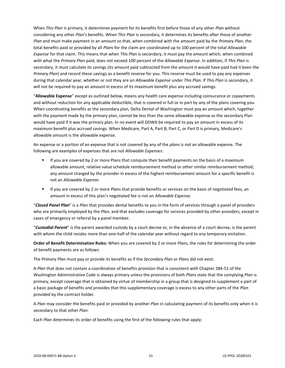When *This Plan* is primary, it determines payment for its benefits first before those of any other *Plan* without considering any other *Plan*'s benefits. When *This Plan* is secondary, it determines its benefits after those of another *Plan* and must make payment in an amount so that, when combined with the amount paid by the *Primary Plan*, the total benefits paid or provided by all *Plan*s for the claim are coordinated up to 100 percent of the total *Allowable Expense* for that claim. This means that when *This Plan* is secondary, it must pay the amount which, when combined with what the *Primary Plan* paid, does not exceed 100 percent of the *Allowable Expense*. In addition, if *This Plan* is secondary, it must calculate its savings (its amount paid subtracted from the amount it would have paid had it been the *Primary Plan*) and record these savings as a benefit reserve for you. This reserve must be used to pay any expenses during that calendar year, whether or not they are an *Allowable Expense* under *This Plan*. If *This Plan* is secondary, it will not be required to pay an amount in excess of its maximum benefit plus any accrued savings.

"**Allowable Expense**" except as outlined below, means any health care expense including coinsurance or copayments and without reduction for any applicable deductible, that is covered in full or in part by any of the plans covering you. When coordinating benefits as the secondary plan, Delta Dental of Washington must pay an amount which, together with the payment made by the primary plan, cannot be less than the same allowable expense as the secondary Plan would have paid if it was the primary plan. In no event will DDWA be required to pay an amount in excess of its maximum benefit plus accrued savings. When Medicare, Part A, Part B, Part C, or Part D is primary, Medicare's allowable amount is the allowable expense.

An expense or a portion of an expense that is not covered by any of the *plan*s is not an allowable expense. The following are examples of expenses that are not *Allowable Expense*s:

- **■** If you are covered by 2 or more Plans that compute their benefit payments on the basis of a maximum allowable amount, relative value schedule reimbursement method or other similar reimbursement method, any amount charged by the provider in excess of the highest reimbursement amount for a specific benefit is not an *Allowable Expense*.
- If you are covered by 2 or more *Plan*s that provide benefits or services on the basis of negotiated fees, an amount in excess of this plan's negotiated fee is not an *Allowable Expense*.

"*Closed Panel Plan*" is a *Plan* that provides dental benefits to you in the form of services through a panel of providers who are primarily employed by the *Plan*, and that excludes coverage for services provided by other providers, except in cases of emergency or referral by a panel member.

"*Custodial Parent*" is the parent awarded custody by a court decree or, in the absence of a court decree, is the parent with whom the child resides more than one-half of the calendar year without regard to any temporary visitation.

**Order of Benefit Determination Rules:** When you are covered by 2 or more *Plan*s, the rules for determining the order of benefit payments are as follows:

The *Primary Plan* must pay or provide its benefits as if the *Secondary Plan* or *Plans* did not exist.

A *Plan* that does not contain a coordination of benefits provision that is consistent with Chapter 284-51 of the Washington Administrative Code is always primary unless the provisions of both *Plan*s state that the complying *Plan* is primary, except coverage that is obtained by virtue of membership in a group that is designed to supplement a part of a basic package of benefits and provides that this supplementary coverage is excess to any other parts of the *Plan* provided by the contract holder.

A *Plan* may consider the benefits paid or provided by another *Plan* in calculating payment of its benefits only when it is secondary to that other *Plan*.

Each *Plan* determines its order of benefits using the first of the following rules that apply: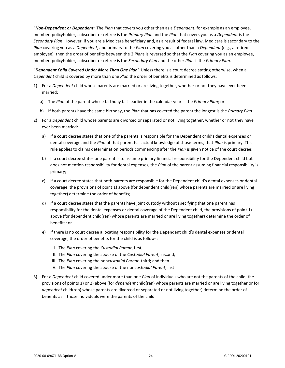"*Non-Dependent or Dependent*" The *Plan* that covers you other than as a *Dependent*, for example as an employee, member, policyholder, subscriber or retiree is the *Primary Plan* and the *Plan* that covers you as a *Dependent* is the *Secondary Plan*. However, if you are a Medicare beneficiary and, as a result of federal law, Medicare is secondary to the *Plan* covering you as a *Dependent*, and primary to the *Plan* covering you as other than a *Dependent* (e.g., a retired employee), then the order of benefits between the 2 *Plan*s is reversed so that the *Plan* covering you as an employee, member, policyholder, subscriber or retiree is the *Secondary Plan* and the other *Plan* is the *Primary Plan*.

"*Dependent Child Covered Under More Than One Plan*" Unless there is a court decree stating otherwise, when a *Dependent* child is covered by more than one *Plan* the order of benefits is determined as follows:

- 1) For a *Dependent* child whose parents are married or are living together, whether or not they have ever been married:
	- a) The *Plan* of the parent whose birthday falls earlier in the calendar year is the *Primary Plan*; or
	- b) If both parents have the same birthday, the *Plan* that has covered the parent the longest is the *Primary Plan*.
- 2) For a *Dependent* child whose parents are divorced or separated or not living together, whether or not they have ever been married:
	- a) If a court decree states that one of the parents is responsible for the Dependent child's dental expenses or dental coverage and the *Plan* of that parent has actual knowledge of those terms, that *Plan* is primary. This rule applies to claims determination periods commencing after the *Plan* is given notice of the court decree;
	- b) If a court decree states one parent is to assume primary financial responsibility for the Dependent child but does not mention responsibility for dental expenses, the *Plan* of the parent assuming financial responsibility is primary;
	- c) If a court decree states that both parents are responsible for the Dependent child's dental expenses or dental coverage, the provisions of point 1) above (for dependent child(ren) whose parents are married or are living together) determine the order of benefits;
	- d) If a court decree states that the parents have joint custody without specifying that one parent has responsibility for the dental expenses or dental coverage of the Dependent child, the provisions of point 1) above (for dependent child(ren) whose parents are married or are living together) determine the order of benefits; or
	- e) If there is no court decree allocating responsibility for the Dependent child's dental expenses or dental coverage, the order of benefits for the child is as follows:
		- I. The *Plan* covering the *Custodial Parent*, first;
		- II. The *Plan* covering the spouse of the *Custodial Parent*, second;
		- III. The *Plan* covering the non*custodial Parent*, third; and then
		- IV. The *Plan* covering the spouse of the non*custodial Parent*, last
- 3) For a *Dependent* child covered under more than one *Plan* of individuals who are not the parents of the child, the provisions of points 1) or 2) above (for *dependent* child(ren) whose parents are married or are living together or for *dependent* child(ren) whose parents are divorced or separated or not living together) determine the order of benefits as if those individuals were the parents of the child.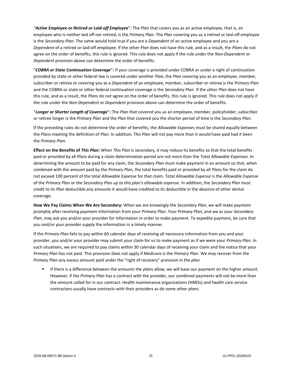"*Active Employee or Retired or Laid-off Employee*": The *Plan* that covers you as an active employee, that is, an employee who is neither laid off nor retired, is the *Primary Plan*. The *Plan* covering you as a retired or laid-off employee is the *Secondary Plan*. The same would hold true if you are a *Dependent* of an active employee and you are a *Dependent* of a retired or laid-off employee. If the other *Plan* does not have this rule, and as a result, the *Plan*s do not agree on the order of benefits, this rule is ignored. This rule does not apply if the rule under the *Non-Dependent* or *Dependent* provision above can determine the order of benefits.

"*COBRA or State Continuation Coverage*"**:** If your coverage is provided under COBRA or under a right of continuation provided by state or other federal law is covered under another *Plan*, the *Plan* covering you as an employee, member, subscriber or retiree or covering you as a *Dependent* of an employee, member, subscriber or retiree is the *Primary Plan* and the COBRA or state or other federal continuation coverage is the *Secondary Plan*. If the other *Plan* does not have this rule, and as a result, the *Plan*s do not agree on the order of benefits, this rule is ignored. This rule does not apply if the rule under the *Non-Dependent* or *Dependent* provision above can determine the order of benefits.

"*Longer or Shorter Length of Coverage*"**:** The *Plan* that covered you as an employee, member, policyholder, subscriber or retiree longer is the *Primary Plan* and the *Plan* that covered you the shorter period of time is the *Secondary Plan*.

If the preceding rules do not determine the order of benefits, the *Allowable Expense*s must be shared equally between the *Plan*s meeting the definition of *Plan*. In addition, *This Plan* will not pay more than it would have paid had it been the *Primary Plan*.

**Effect on the Benefits of** *This Plan***:** When *This Plan* is secondary, it may reduce its benefits so that the total benefits paid or provided by all *Plan*s during a claim determination period are not more than the *Total Allowable Expenses*. In determining the amount to be paid for any claim, the *Secondary Plan* must make payment in an amount so that, when combined with the amount paid by the *Primary Plan*, the total benefits paid or provided by all *Plan*s for the claim do not exceed 100 percent of the total *Allowable Expense* for that claim. Total *Allowable Expense* is the *Allowable Expense* of the *Primary Plan* or the *Secondary Plan up to this plan's allowable expense*. In addition, the *Secondary Plan* must credit to its *Plan* deductible any amounts it would have credited to its deductible in the absence of other dental coverage.

**How We Pay Claims When We Are Secondary:** When we are knowingly the *Secondary Plan*, we will make payment promptly after receiving payment information from your *Primary Plan*. Your *Primary Plan*, and we as your *Secondary Plan*, may ask you and/or your provider for information in order to make payment. To expedite payment, be sure that you and/or your provider supply the information in a timely manner.

If the *Primary Plan* fails to pay within 60 calendar days of receiving all necessary information from you and your provider, you and/or your provider may submit your claim for us to make payment as if we were your *Primary Plan*. In such situations, we are required to pay claims within 30 calendar days of receiving your claim and the notice that your *Primary Plan* has not paid. This provision does not apply if Medicare is the *Primary Plan*. We may recover from the *Primary Plan* any excess amount paid under the "right of recovery" provision in the *plan*.

If there is a difference between the amounts the *plans* allow, we will base our payment on the higher amount. However, if the *Primary Plan* has a contract with the provider, our combined payments will not be more than the amount called for in our contract. Health maintenance organizations (HMOs) and health care service contractors usually have contracts with their providers as do some other *plan*s.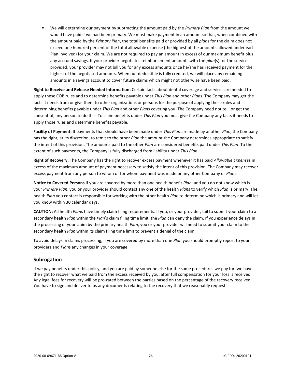▪ We will determine our payment by subtracting the amount paid by the *Primary Plan* from the amount we would have paid if we had been primary. We must make payment in an amount so that, when combined with the amount paid by the *Primary Plan*, the total benefits paid or provided by all *plan*s for the claim does not exceed one hundred percent of the total allowable expense (the highest of the amounts allowed under each Plan involved) for your claim. We are not required to pay an amount in excess of our maximum benefit plus any accrued savings. If your provider negotiates reimbursement amounts with the *plan*(s) for the service provided, your provider may not bill you for any excess amounts once he/she has received payment for the highest of the negotiated amounts. When our deductible is fully credited, we will place any remaining amounts in a savings account to cover future claims which might not otherwise have been paid.

**Right to Receive and Release Needed Information:** Certain facts about dental coverage and services are needed to apply these COB rules and to determine benefits payable under *This Plan* and other *Plan*s. The Company may get the facts it needs from or give them to other organizations or persons for the purpose of applying these rules and determining benefits payable under *This Plan* and other *Plan*s covering you. The Company need not tell, or get the consent of, any person to do this. To claim benefits under *This Plan* you must give the Company any facts it needs to apply those rules and determine benefits payable.

**Facility of Payment:** If payments that should have been made under *This Plan* are made by another *Plan*, the Company has the right, at its discretion, to remit to the other *Plan* the amount the Company determines appropriate to satisfy the intent of this provision. The amounts paid to the other *Plan* are considered benefits paid under *This Plan*. To the extent of such payments, the Company is fully discharged from liability under *This Plan*.

**Right of Recovery:** The Company has the right to recover excess payment whenever it has paid *Allowable Expense*s in excess of the maximum amount of payment necessary to satisfy the intent of this provision. The Company may recover excess payment from any person to whom or for whom payment was made or any other Company or *Plan*s.

**Notice to Covered Persons** If you are covered by more than one health benefit *Plan*, and you do not know which is your *Primary Plan*, you or your provider should contact any one of the health *Plan*s to verify which *Plan* is primary. The health *Plan* you contact is responsible for working with the other health *Plan* to determine which is primary and will let you know within 30 calendar days.

**CAUTION:** All health *Plan*s have timely claim filing requirements. If you, or your provider, fail to submit your claim to a secondary health *Plan* within the *Plan*'s claim filing time limit, the *Plan* can deny the claim. If you experience delays in the processing of your claim by the primary health *Plan*, you or your provider will need to submit your claim to the secondary health *Plan* within its claim filing time limit to prevent a denial of the claim.

To avoid delays in claims processing, if you are covered by more than one *Plan* you should promptly report to your providers and *Plan*s any changes in your coverage.

## <span id="page-28-0"></span>**Subrogation**

If we pay benefits under this policy, and you are paid by someone else for the same procedures we pay for, we have the right to recover what we paid from the excess received by you, after full compensation for your loss is received. Any legal fees for recovery will be pro-rated between the parties based on the percentage of the recovery received. You have to sign and deliver to us any documents relating to the recovery that we reasonably request.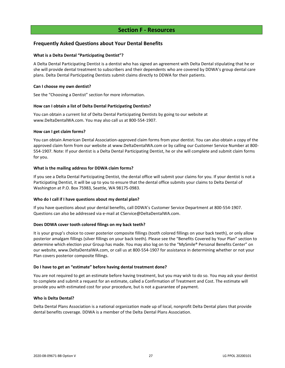## **Section F - Resources**

## <span id="page-29-1"></span><span id="page-29-0"></span>**Frequently Asked Questions about Your Dental Benefits**

#### **What is a Delta Dental "Participating Dentist"?**

A Delta Dental Participating Dentist is a dentist who has signed an agreement with Delta Dental stipulating that he or she will provide dental treatment to subscribers and their dependents who are covered by DDWA's group dental care plans. Delta Dental Participating Dentists submit claims directly to DDWA for their patients.

#### **Can I choose my own dentist?**

See the "Choosing a Dentist" section for more information.

#### **How can I obtain a list of Delta Dental Participating Dentists?**

You can obtain a current list of Delta Dental Participating Dentists by going to our website at www.DeltaDentalWA.com. You may also call us at 800-554-1907.

#### **How can I get claim forms?**

You can obtain American Dental Association-approved claim forms from your dentist. You can also obtain a copy of the approved claim form from our website at www.DeltaDentalWA.com or by calling our Customer Service Number at 800- 554-1907. Note: If your dentist is a Delta Dental Participating Dentist, he or she will complete and submit claim forms for you.

#### **What is the mailing address for DDWA claim forms?**

If you see a Delta Dental Participating Dentist, the dental office will submit your claims for you. If your dentist is not a Participating Dentist, it will be up to you to ensure that the dental office submits your claims to Delta Dental of Washington at P.O. Box 75983, Seattle, WA 98175-0983.

#### **Who do I call if I have questions about my dental plan?**

If you have questions about your dental benefits, call DDWA's Customer Service Department at 800-554-1907. Questions can also be addressed via e-mail at CService@DeltaDentalWA.com.

#### **Does DDWA cover tooth colored filings on my back teeth?**

It is your group's choice to cover posterior composite fillings (tooth colored fillings on your back teeth), or only allow posterior amalgam fillings (silver fillings on your back teeth). Please see the "Benefits Covered by Your Plan" section to determine which election your Group has made. You may also log on to the "MySmile® Personal Benefits Center" on our website, www.DeltaDentalWA.com, or call us at 800-554-1907 for assistance in determining whether or not your Plan covers posterior composite fillings.

#### **Do I have to get an "estimate" before having dental treatment done?**

You are not required to get an estimate before having treatment, but you may wish to do so. You may ask your dentist to complete and submit a request for an estimate, called a Confirmation of Treatment and Cost. The estimate will provide you with estimated cost for your procedure, but is not a guarantee of payment.

#### **Who is Delta Dental?**

Delta Dental Plans Association is a national organization made up of local, nonprofit Delta Dental plans that provide dental benefits coverage. DDWA is a member of the Delta Dental Plans Association.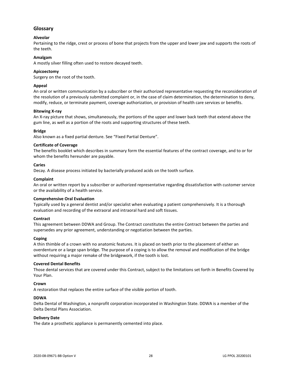## <span id="page-30-0"></span>**Glossary**

## **Alveolar**

Pertaining to the ridge, crest or process of bone that projects from the upper and lower jaw and supports the roots of the teeth.

#### **Amalgam**

A mostly silver filling often used to restore decayed teeth.

#### **Apicoectomy**

Surgery on the root of the tooth.

#### **Appeal**

An oral or written communication by a subscriber or their authorized representative requesting the reconsideration of the resolution of a previously submitted complaint or, in the case of claim determination, the determination to deny, modify, reduce, or terminate payment, coverage authorization, or provision of health care services or benefits.

#### **Bitewing X-ray**

An X-ray picture that shows, simultaneously, the portions of the upper and lower back teeth that extend above the gum line, as well as a portion of the roots and supporting structures of these teeth.

#### **Bridge**

Also known as a fixed partial denture. See "Fixed Partial Denture".

#### **Certificate of Coverage**

The benefits booklet which describes in summary form the essential features of the contract coverage, and to or for whom the benefits hereunder are payable.

#### **Caries**

Decay. A disease process initiated by bacterially produced acids on the tooth surface.

#### **Complaint**

An oral or written report by a subscriber or authorized representative regarding dissatisfaction with customer service or the availability of a health service.

#### **Comprehensive Oral Evaluation**

Typically used by a general dentist and/or specialist when evaluating a patient comprehensively. It is a thorough evaluation and recording of the extraoral and intraoral hard and soft tissues.

#### **Contract**

This agreement between DDWA and Group. The Contract constitutes the entire Contract between the parties and supersedes any prior agreement, understanding or negotiation between the parties.

#### **Coping**

A thin thimble of a crown with no anatomic features. It is placed on teeth prior to the placement of either an overdenture or a large span bridge. The purpose of a coping is to allow the removal and modification of the bridge without requiring a major remake of the bridgework, if the tooth is lost.

#### **Covered Dental Benefits**

Those dental services that are covered under this Contract, subject to the limitations set forth in Benefits Covered by Your Plan.

#### **Crown**

A restoration that replaces the entire surface of the visible portion of tooth.

#### **DDWA**

Delta Dental of Washington, a nonprofit corporation incorporated in Washington State. DDWA is a member of the Delta Dental Plans Association.

#### **Delivery Date**

The date a prosthetic appliance is permanently cemented into place.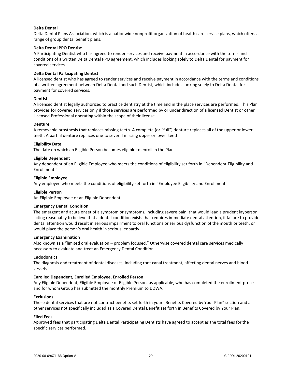#### **Delta Dental**

Delta Dental Plans Association, which is a nationwide nonprofit organization of health care service plans, which offers a range of group dental benefit plans.

#### **Delta Dental PPO Dentist**

A Participating Dentist who has agreed to render services and receive payment in accordance with the terms and conditions of a written Delta Dental PPO agreement, which includes looking solely to Delta Dental for payment for covered services.

#### **Delta Dental Participating Dentist**

A licensed dentist who has agreed to render services and receive payment in accordance with the terms and conditions of a written agreement between Delta Dental and such Dentist, which includes looking solely to Delta Dental for payment for covered services.

#### **Dentist**

A licensed dentist legally authorized to practice dentistry at the time and in the place services are performed. This Plan provides for covered services only if those services are performed by or under direction of a licensed Dentist or other Licensed Professional operating within the scope of their license.

#### **Denture**

A removable prosthesis that replaces missing teeth. A complete (or "full") denture replaces all of the upper or lower teeth. A partial denture replaces one to several missing upper or lower teeth.

#### **Eligibility Date**

The date on which an Eligible Person becomes eligible to enroll in the Plan.

#### **Eligible Dependent**

Any dependent of an Eligible Employee who meets the conditions of eligibility set forth in "Dependent Eligibility and Enrollment."

#### **Eligible Employee**

Any employee who meets the conditions of eligibility set forth in "Employee Eligibility and Enrollment.

#### **Eligible Person**

An Eligible Employee or an Eligible Dependent.

#### **Emergency Dental Condition**

The emergent and acute onset of a symptom or symptoms, including severe pain, that would lead a prudent layperson acting reasonably to believe that a dental condition exists that requires immediate dental attention, if failure to provide dental attention would result in serious impairment to oral functions or serious dysfunction of the mouth or teeth, or would place the person's oral health in serious jeopardy.

#### **Emergency Examination**

Also known as a "limited oral evaluation – problem focused." Otherwise covered dental care services medically necessary to evaluate and treat an Emergency Dental Condition.

#### **Endodontics**

The diagnosis and treatment of dental diseases, including root canal treatment, affecting dental nerves and blood vessels.

#### **Enrolled Dependent, Enrolled Employee, Enrolled Person**

Any Eligible Dependent, Eligible Employee or Eligible Person, as applicable, who has completed the enrollment process and for whom Group has submitted the monthly Premium to DDWA.

#### **Exclusions**

Those dental services that are not contract benefits set forth in your "Benefits Covered by Your Plan" section and all other services not specifically included as a Covered Dental Benefit set forth in Benefits Covered by Your Plan.

#### **Filed Fees**

Approved fees that participating Delta Dental Participating Dentists have agreed to accept as the total fees for the specific services performed.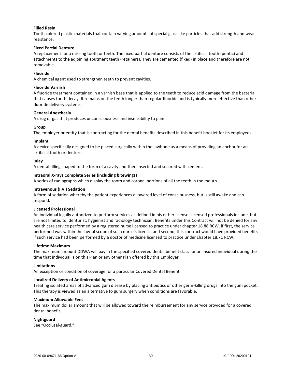#### **Filled Resin**

Tooth colored plastic materials that contain varying amounts of special glass like particles that add strength and wear resistance.

#### **Fixed Partial Denture**

A replacement for a missing tooth or teeth. The fixed partial denture consists of the artificial tooth (pontic) and attachments to the adjoining abutment teeth (retainers). They are cemented (fixed) in place and therefore are not removable.

#### **Fluoride**

A chemical agent used to strengthen teeth to prevent cavities.

#### **Fluoride Varnish**

A fluoride treatment contained in a varnish base that is applied to the teeth to reduce acid damage from the bacteria that causes tooth decay. It remains on the teeth longer than regular fluoride and is typically more effective than other fluoride delivery systems.

#### **General Anesthesia**

A drug or gas that produces unconsciousness and insensibility to pain.

#### **Group**

The employer or entity that is contracting for the dental benefits described in this benefit booklet for its employees.

#### **Implant**

A device specifically designed to be placed surgically within the jawbone as a means of providing an anchor for an artificial tooth or denture.

#### **Inlay**

A dental filling shaped to the form of a cavity and then inserted and secured with cement.

#### **Intraoral X-rays Complete Series (including bitewings)**

A series of radiographs which display the tooth and coronal portions of all the teeth in the mouth.

#### **Intravenous (I.V.) Sedation**

A form of sedation whereby the patient experiences a lowered level of consciousness, but is still awake and can respond.

#### **Licensed Professional**

An individual legally authorized to perform services as defined in his or her license. Licensed professionals include, but are not limited to, denturist, hygienist and radiology technician. Benefits under this Contract will not be denied for any health care service performed by a registered nurse licensed to practice under chapter 18.88 RCW, if first, the service performed was within the lawful scope of such nurse's license, and second, this contract would have provided benefits if such service had been performed by a doctor of medicine licensed to practice under chapter 18.71 RCW.

#### **Lifetime Maximum**

The maximum amount DDWA will pay in the specified covered dental benefit class for an insured individual during the time that individual is on this Plan or any other Plan offered by this Employer.

#### **Limitations**

An exception or condition of coverage for a particular Covered Dental Benefit.

#### **Localized Delivery of Antimicrobial Agents**

Treating isolated areas of advanced gum disease by placing antibiotics or other germ-killing drugs into the gum pocket. This therapy is viewed as an alternative to gum surgery when conditions are favorable.

#### **Maximum Allowable Fees**

The maximum dollar amount that will be allowed toward the reimbursement for any service provided for a covered dental benefit.

#### **Nightguard**

See "Occlusal-guard."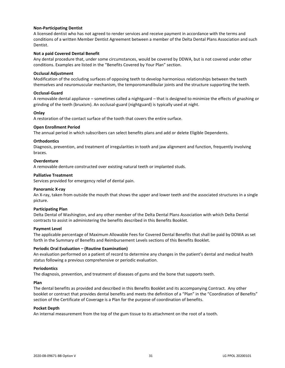#### **Non-Participating Dentist**

A licensed dentist who has not agreed to render services and receive payment in accordance with the terms and conditions of a written Member Dentist Agreement between a member of the Delta Dental Plans Association and such Dentist.

#### **Not a paid Covered Dental Benefit**

Any dental procedure that, under some circumstances, would be covered by DDWA, but is not covered under other conditions. Examples are listed in the "Benefits Covered by Your Plan" section.

#### **Occlusal Adjustment**

Modification of the occluding surfaces of opposing teeth to develop harmonious relationships between the teeth themselves and neuromuscular mechanism, the temporomandibular joints and the structure supporting the teeth.

#### **Occlusal-Guard**

A removable dental appliance – sometimes called a nightguard – that is designed to minimize the effects of gnashing or grinding of the teeth (bruxism). An occlusal-guard (nightguard) is typically used at night.

#### **Onlay**

A restoration of the contact surface of the tooth that covers the entire surface.

#### **Open Enrollment Period**

The annual period in which subscribers can select benefits plans and add or delete Eligible Dependents.

#### **Orthodontics**

Diagnosis, prevention, and treatment of irregularities in tooth and jaw alignment and function, frequently involving braces.

#### **Overdenture**

A removable denture constructed over existing natural teeth or implanted studs.

#### **Palliative Treatment**

Services provided for emergency relief of dental pain.

#### **Panoramic X-ray**

An X-ray, taken from outside the mouth that shows the upper and lower teeth and the associated structures in a single picture.

#### **Participating Plan**

Delta Dental of Washington, and any other member of the Delta Dental Plans Association with which Delta Dental contracts to assist in administering the benefits described in this Benefits Booklet.

#### **Payment Level**

The applicable percentage of Maximum Allowable Fees for Covered Dental Benefits that shall be paid by DDWA as set forth in the Summary of Benefits and Reimbursement Levels sections of this Benefits Booklet.

#### **Periodic Oral Evaluation – (Routine Examination)**

An evaluation performed on a patient of record to determine any changes in the patient's dental and medical health status following a previous comprehensive or periodic evaluation.

#### **Periodontics**

The diagnosis, prevention, and treatment of diseases of gums and the bone that supports teeth.

#### **Plan**

The dental benefits as provided and described in this Benefits Booklet and its accompanying Contract. Any other booklet or contract that provides dental benefits and meets the definition of a "Plan" in the "Coordination of Benefits" section of the Certificate of Coverage is a Plan for the purpose of coordination of benefits.

#### **Pocket Depth**

An internal measurement from the top of the gum tissue to its attachment on the root of a tooth.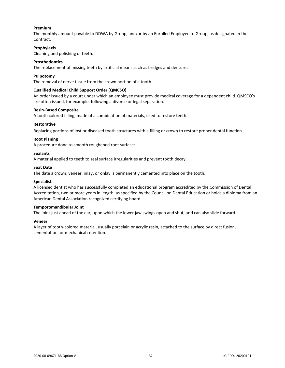#### **Premium**

The monthly amount payable to DDWA by Group, and/or by an Enrolled Employee to Group, as designated in the Contract.

#### **Prophylaxis**

Cleaning and polishing of teeth.

#### **Prosthodontics**

The replacement of missing teeth by artificial means such as bridges and dentures.

#### **Pulpotomy**

The removal of nerve tissue from the crown portion of a tooth.

#### **Qualified Medical Child Support Order (QMCSO)**

An order issued by a court under which an employee must provide medical coverage for a dependent child. QMSCO's are often issued, for example, following a divorce or legal separation.

#### **Resin-Based Composite**

A tooth colored filling, made of a combination of materials, used to restore teeth.

#### **Restorative**

Replacing portions of lost or diseased tooth structures with a filling or crown to restore proper dental function.

#### **Root Planing**

A procedure done to smooth roughened root surfaces.

#### **Sealants**

A material applied to teeth to seal surface irregularities and prevent tooth decay.

#### **Seat Date**

The date a crown, veneer, inlay, or onlay is permanently cemented into place on the tooth.

#### **Specialist**

A licensed dentist who has successfully completed an educational program accredited by the Commission of Dental Accreditation, two or more years in length, as specified by the Council on Dental Education or holds a diploma from an American Dental Association recognized certifying board.

#### **Temporomandibular Joint**

The joint just ahead of the ear, upon which the lower jaw swings open and shut, and can also slide forward.

#### **Veneer**

A layer of tooth-colored material, usually porcelain or acrylic resin, attached to the surface by direct fusion, cementation, or mechanical retention.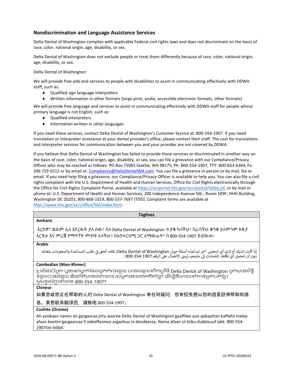## <span id="page-35-0"></span>**Nondiscrimination and Language Assistance Services**

Delta Dental of Washington complies with applicable Federal civil rights laws and does not discriminate on the basis of race, color, national origin, age, disability, or sex.

Delta Dental of Washington does not exclude people or treat them differently because of race, color, national origin, age, disability, or sex.

Delta Dental of Washington:

We will provide free aids and services to people with disabilities to assist in communicating effectively with DDWA staff, such as:

- ◆ Qualified sign language interpreters
- Written information in other formats (large print, audio, accessible electronic formats, other formats)

We will provide free language and services to assist in communicating effectively with DDWA staff for people whose primary language is not English, such as:

- Qualified interpreters
- $\bullet$  Information written in other languages

If you need these services, contact Delta Dental of Washington's Customer Service at: 800-554-1907. If you need translation or interpreter assistance at your dental provider's office, please contact their staff. The cost for translations and interpreter services for communication between you and your provider are not covered by DDWA.

If you believe that Delta Dental of Washington has failed to provide these services or discriminated in another way on the basis of race, color, national origin, age, disability, or sex, you can file a grievance with our Compliance/Privacy Officer who may be reached as follows: PO Box 75983 Seattle, WA 98175, Ph: 800-554-1907, TTY: 800-833-6384, Fx: 206 729-5512 or by email at: [Compliance@DeltaDentalWA.com.](mailto:Compliance@DeltaDentalWA.com) You can file a grievance in person or by mail, fax or email. If you need help filing a grievance, our Compliance/Privacy Officer is available to help you. You can also file a civil rights complaint with the U.S. Department of Health and Human Services, Office for Civil Rights electronically through the Office for Civil Rights Complaint Portal, available a[t https://ocrportal.hhs.gov/ocr/portal/lobby.jsf,](https://ocrportal.hhs.gov/ocr/portal/lobby.jsf) or by mail or phone at: U.S. Department of Health and Human Services, 200 Independence Avenue SW., Room 509F, HHH Building, Washington DC 20201, 800-868-1019, 800-537-7697 (TDD). Complaint forms are available at [http://www.hhs.gov/ocr/office/file/index.html.](http://www.hhs.gov/ocr/office/file/index.html)

| <b>Taglines</b>                                                                                                                                                                                                                                      |
|------------------------------------------------------------------------------------------------------------------------------------------------------------------------------------------------------------------------------------------------------|
| <b>Amharic</b>                                                                                                                                                                                                                                       |
| እርስዎ፣ ወይም ሌላ እየረዱት ያለ ሰው፣ ስለ Delta Dental of Washington ጥያቄ ካላችሁ፣ በራሳችሁ ቋንቋ ያለምንም ክፍያ<br>እርዳታ እና መረጃ የማማኘት መብት አላችሁ። ከአስተርጓሚ <i>ጋ</i> ር ለማውራት፣ በ 800-554-1907 ይደውሉ።                                                                                  |
| <b>Arabic</b>                                                                                                                                                                                                                                        |
| إذا كانت لديك أو لدى أي شخص آخر تساعده أسئلة حول Delta Dental of Washington، فلك الحق في طلب المساعدة والمعلومات بلغتك<br>دون أن تتحمل أي تكلفة. للتحدث إلى مترجم، يُرجى الاتصال على الرقم 290-554-800.                                              |
| <b>Cambodian (Mon-Khmer)</b>                                                                                                                                                                                                                         |
| ប្រសិនបើអ្នក ឬនរណាម្នាក់ដែលអ្នកកំពុងជួយ មានសំណួរអំពីកម្មវិធី Delta Dental of Washington អ្នកមានសិទ្ធិ<br>ទទួលបានជំនួយ និងព័ត៌មានជាភាសារបស់អ្នកដោយឥតគិតថ្លៃ។ ដើម្បីនិយាយទៅកាន់អ្នកបកប្រែ<br>សូមទូរស័ក្កទៅលេខ 800-554-1907។                            |
| <b>Chinese</b>                                                                                                                                                                                                                                       |
| 如果您或您正在帮助的人对 Delta Dental of Washington 有任何疑问,您有权免费以您的语言获得帮助和信                                                                                                                                                                                       |
| 息。要想联系翻译员,请致电 800-554-1907。                                                                                                                                                                                                                          |
| Cushite (Oromo)                                                                                                                                                                                                                                      |
| Ati yookaan namni ati gargaaraa jirtu waa'ee Delta Dental of Washington gaaffilee yoo qabaattan kaffaltii malee<br>afaan keetiin gargaarsaa fi odeeffannoo argachuu ni dandeessa. Nama afaan sii hiiku dubbisuuf lakk. 800-554-<br>1907tiin bilbili. |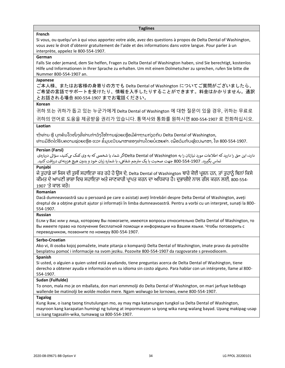#### **Taglines**

#### **French**

Si vous, ou quelqu'un à qui vous apportez votre aide, avez des questions à propos de Delta Dental of Washington, vous avez le droit d'obtenir gratuitement de l'aide et des informations dans votre langue. Pour parler à un interprète, appelez le 800-554-1907.

## **German**

Falls Sie oder jemand, dem Sie helfen, Fragen zu Delta Dental of Washington haben, sind Sie berechtigt, kostenlos Hilfe und Informationen in Ihrer Sprache zu erhalten. Um mit einem Dolmetscher zu sprechen, rufen Sie bitte die Nummer 800-554-1907 an.

#### **Japanese**

ご本人様、またはお客様の身寄りの方でも Delta Dental of Washington についてご質問がございましたら、 ご希望の言語でサポートを受けたり、情報を入手したりすることができます。料金はかかりません。通訳 とお話される場合 800-554-1907 までお電話ください。

#### **Korean**

귀하 또는 귀하가 돕고 있는 누군가에게 Delta Dental of Washington 에 대한 질문이 있을 경우, 귀하는 무료로 귀하의 언어로 도움을 제공받을 권리가 있습니다. 통역사와 통화를 원하시면 800-554-1907 로 전화하십시오.

## **Laotian**

ຖ້າທ່ານ ຫຼື ບຸກຄົນໃດໜຶ່ງທີ່ທ່ານກໍາລັງໃຫ້ການຊ່ວຍເຫຼືອມີຄໍາຖາມກ່ຽວກັບ Delta Dental of Washington, ທ່ານມີສິດໄດ້ຮັບຄວາມຊ່ວຍເຫຼືອ ແລະ ຂໍ້ມູນເປັນພາສາຂອງທ່ານໂດຍບໍ່ເສຍຄ່າ. ເພື່ອລິມກັບຜູ້ແປພາສາ, ໂທ 800-554-1907.

#### **Persian (Farsi)**

دارد، این حق را دارید که اطلاعات مورد نیازتان را به Delta Dental of Washingtonاگر شما، یا شخصی که به وی کمک می کنید، سؤالی دربارهی جم شفایه، با شماره زبان خود و بدون هیچ هزینهای در یافتکنید. تماس بگرتید. 800-554-1907 جهت صحبت با یک مت <sup>ر</sup>

## **Punjabi**

ਜੇ ਤੁਹਾਡੇ ਜਾਂ ਜਿਸ ਦੀ ਤੁਸੀਂ ਸਹਾਇਤਾ ਕਰ ਰਹੇ ਹੋ ਉਸ ਦੇ, Delta Dental of Washington ਬਾਰੇ ਕੋਈ ਪ੍ਰਸ਼ਨ ਹਨ, ਤਾਂ ਤੁਹਾਨੂੰ ਬਿਨਾਂ ਕਿਸੇ ਕੀਮਤ ਦੇ ਆਪਣੀ ਭਾਸ਼ਾ ਵਿਚ ਸਹਾਇਤਾ ਅਤੇ ਜਾਣਕਾਰੀ ਪ੍ਰਾਪਤ ਕਰਨ ਦਾ ਅਧਿਕਾਰ ਹੈ। ਦੁਭਾਸ਼ੀਏ ਨਾਲ ਗੱਲ ਕਰਨ ਲਈ, 800-554-1907 'ਤੇ ਕਾਲ ਕਰੋ।

#### **Romanian**

Dacă dumneavoastră sau o persoană pe care o asistați aveți întrebări despre Delta Dental of Washington, aveți dreptul de a obține gratuit ajutor și informații în limba dumneavoastră. Pentru a vorbi cu un interpret, sunați la 800- 554-1907.

#### **Russian**

Если у Вас или у лица, которому Вы помогаете, имеются вопросы относительно Delta Dental of Washington, то Вы имеете право на получение бесплатной помощи и информации на Вашем языке. Чтобы поговорить с переводчиком, позвоните по номеру 800-554-1907.

#### **Serbo-Croatian**

Ako vi, ili osoba kojoj pomažete, imate pitanja o kompaniji Delta Dental of Washington, imate pravo da potražite besplatnu pomoć i informacije na svom jeziku. Pozovite 800-554-1907 da razgovarate s prevodiocem.

#### **Spanish**

Si usted, o alguien a quien usted está ayudando, tiene preguntas acerca de Delta Dental of Washington, tiene derecho a obtener ayuda e información en su idioma sin costo alguno. Para hablar con un intérprete, llame al 800- 554-1907.

#### **Sudan (Fulfulde)**

To onon, mala mo je on mballata, don mari emmmolji do Delta Dental of Washington, on mari jarfuye keɓɓugo wallende be matinolji be wolde moɗon mere. Ngam wolwugo be lornowo, ewne 800-554-1907.

## **Tagalog**

Kung ikaw, o isang taong tinutulungan mo, ay may mga katanungan tungkol sa Delta Dental of Washington, mayroon kang karapatan humingi ng tulong at impormasyon sa iyong wika nang walang bayad. Upang makipag-usap sa isang tagasalin-wika, tumawag sa 800-554-1907.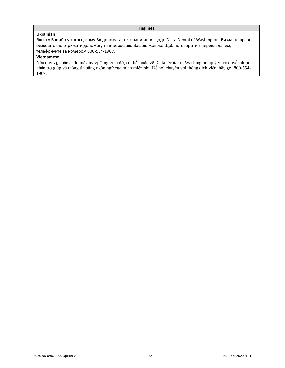## **Taglines**

## **Ukrainian**

Якщо у Вас або у когось, кому Ви допомагаєте, є запитання щодо Delta Dental of Washington, Ви маєте право безкоштовно отримати допомогу та інформацію Вашою мовою. Щоб поговорити з перекладачем, телефонуйте за номером 800-554-1907.

## **Vietnamese**

Nếu quý vị, hoặc ai đó mà quý vị đang giúp đỡ, có thắc mắc về Delta Dental of Washington, quý vị có quyền được nhận trợ giúp và thông tin bằng ngôn ngữ của mình miễn phí. Để nói chuyện với thông dịch viên, hãy gọi 800-554- 1907.